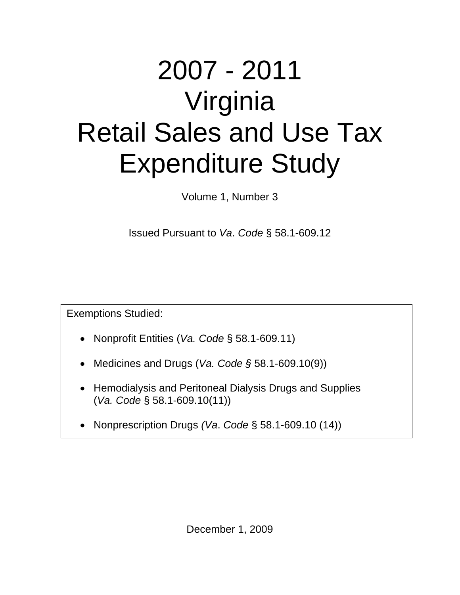# 2007 - 2011 Virginia Retail Sales and Use Tax Expenditure Study

Volume 1, Number 3

Issued Pursuant to *Va*. *Code* § 58.1-609.12

Exemptions Studied:

- Nonprofit Entities (*Va. Code* § 58.1-609.11)
- Medicines and Drugs (*Va. Code §* 58.1-609.10(9))
- Hemodialysis and Peritoneal Dialysis Drugs and Supplies (*Va. Code* § 58.1-609.10(11))
- Nonprescription Drugs *(Va*. *Code* § 58.1-609.10 (14))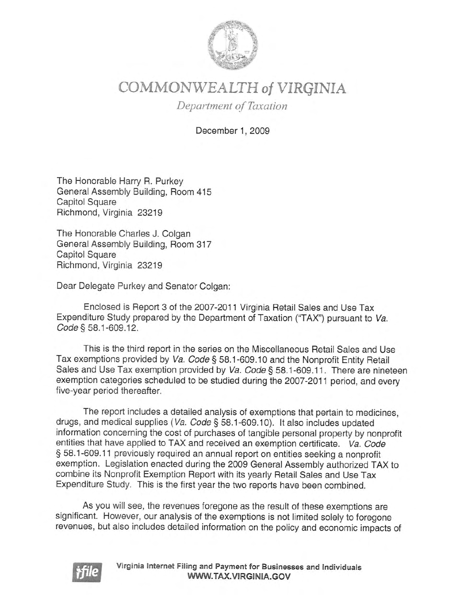

# COMMONWEALTH of VIRGINIA

Department of Taxation

December 1, 2009

The Honorable Harry R. Purkey General Assembly Building, Room 415 **Capitol Square** Richmond, Virginia 23219

The Honorable Charles J. Colgan General Assembly Building, Room 317 **Capitol Square** Richmond, Virginia 23219

Dear Delegate Purkey and Senator Colgan:

Enclosed is Report 3 of the 2007-2011 Virginia Retail Sales and Use Tax Expenditure Study prepared by the Department of Taxation ("TAX") pursuant to Va. Code § 58.1-609.12.

This is the third report in the series on the Miscellaneous Retail Sales and Use Tax exemptions provided by Va. Code § 58.1-609.10 and the Nonprofit Entity Retail Sales and Use Tax exemption provided by Va. Code § 58.1-609.11. There are nineteen exemption categories scheduled to be studied during the 2007-2011 period, and every five-year period thereafter.

The report includes a detailed analysis of exemptions that pertain to medicines, drugs, and medical supplies (Va. Code § 58.1-609.10). It also includes updated information concerning the cost of purchases of tangible personal property by nonprofit entities that have applied to TAX and received an exemption certificate. Va. Code § 58.1-609.11 previously required an annual report on entities seeking a nonprofit exemption. Legislation enacted during the 2009 General Assembly authorized TAX to combine its Nonprofit Exemption Report with its yearly Retail Sales and Use Tax Expenditure Study. This is the first year the two reports have been combined.

As you will see, the revenues foregone as the result of these exemptions are significant. However, our analysis of the exemptions is not limited solely to foregone revenues, but also includes detailed information on the policy and economic impacts of

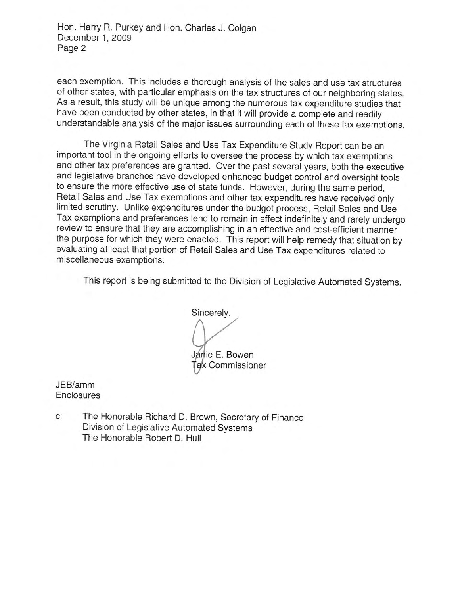Hon. Harry R. Purkey and Hon. Charles J. Colgan December 1, 2009 Page 2

each exemption. This includes a thorough analysis of the sales and use tax structures of other states, with particular emphasis on the tax structures of our neighboring states. As a result, this study will be unique among the numerous tax expenditure studies that have been conducted by other states, in that it will provide a complete and readily understandable analysis of the major issues surrounding each of these tax exemptions.

The Virginia Retail Sales and Use Tax Expenditure Study Report can be an important tool in the ongoing efforts to oversee the process by which tax exemptions and other tax preferences are granted. Over the past several years, both the executive and legislative branches have developed enhanced budget control and oversight tools to ensure the more effective use of state funds. However, during the same period, Retail Sales and Use Tax exemptions and other tax expenditures have received only limited scrutiny. Unlike expenditures under the budget process, Retail Sales and Use Tax exemptions and preferences tend to remain in effect indefinitely and rarely undergo review to ensure that they are accomplishing in an effective and cost-efficient manner the purpose for which they were enacted. This report will help remedy that situation by evaluating at least that portion of Retail Sales and Use Tax expenditures related to miscellaneous exemptions.

This report is being submitted to the Division of Legislative Automated Systems.

Sincerely, Janie E. Bowen Tax Commissioner

JEB/amm Enclosures

C: The Honorable Richard D. Brown, Secretary of Finance Division of Legislative Automated Systems The Honorable Robert D. Hull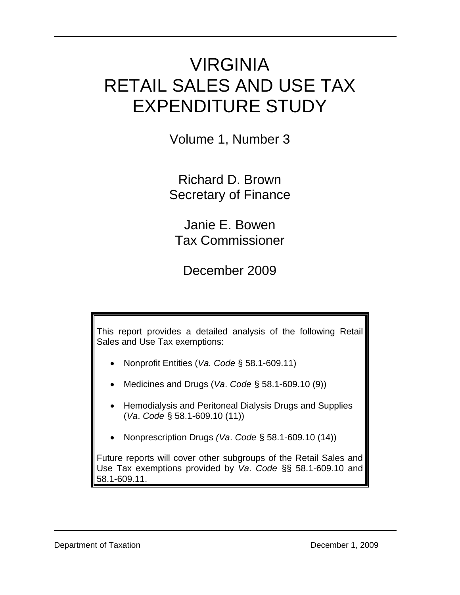# VIRGINIA RETAIL SALES AND USE TAX EXPENDITURE STUDY

 $\mathcal{L}_\mathcal{L} = \mathcal{L}_\mathcal{L} = \mathcal{L}_\mathcal{L} = \mathcal{L}_\mathcal{L} = \mathcal{L}_\mathcal{L} = \mathcal{L}_\mathcal{L} = \mathcal{L}_\mathcal{L} = \mathcal{L}_\mathcal{L} = \mathcal{L}_\mathcal{L} = \mathcal{L}_\mathcal{L} = \mathcal{L}_\mathcal{L} = \mathcal{L}_\mathcal{L} = \mathcal{L}_\mathcal{L} = \mathcal{L}_\mathcal{L} = \mathcal{L}_\mathcal{L} = \mathcal{L}_\mathcal{L} = \mathcal{L}_\mathcal{L}$ 

Volume 1, Number 3

Richard D. Brown Secretary of Finance

Janie E. Bowen Tax Commissioner

December 2009

This report provides a detailed analysis of the following Retail Sales and Use Tax exemptions:

- Nonprofit Entities (*Va. Code* § 58.1-609.11)
- Medicines and Drugs (*Va*. *Code* § 58.1-609.10 (9))
- Hemodialysis and Peritoneal Dialysis Drugs and Supplies (*Va*. *Code* § 58.1-609.10 (11))
- Nonprescription Drugs *(Va*. *Code* § 58.1-609.10 (14))

Future reports will cover other subgroups of the Retail Sales and Use Tax exemptions provided by *Va*. *Code* §§ 58.1-609.10 and 58.1-609.11.

 $\mathcal{L}_\text{max}$  and  $\mathcal{L}_\text{max}$  and  $\mathcal{L}_\text{max}$  and  $\mathcal{L}_\text{max}$  and  $\mathcal{L}_\text{max}$  and  $\mathcal{L}_\text{max}$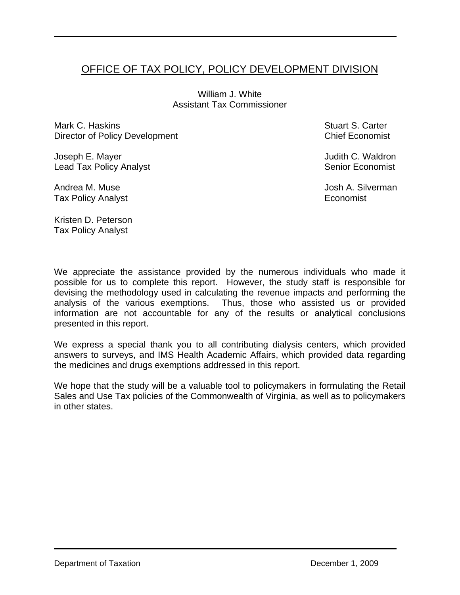# OFFICE OF TAX POLICY, POLICY DEVELOPMENT DIVISION

 $\mathcal{L}_\mathcal{L} = \mathcal{L}_\mathcal{L} = \mathcal{L}_\mathcal{L} = \mathcal{L}_\mathcal{L} = \mathcal{L}_\mathcal{L} = \mathcal{L}_\mathcal{L} = \mathcal{L}_\mathcal{L} = \mathcal{L}_\mathcal{L} = \mathcal{L}_\mathcal{L} = \mathcal{L}_\mathcal{L} = \mathcal{L}_\mathcal{L} = \mathcal{L}_\mathcal{L} = \mathcal{L}_\mathcal{L} = \mathcal{L}_\mathcal{L} = \mathcal{L}_\mathcal{L} = \mathcal{L}_\mathcal{L} = \mathcal{L}_\mathcal{L}$ 

William J. White Assistant Tax Commissioner

Mark C. Haskins Director of Policy Development

Joseph E. Mayer Lead Tax Policy Analyst

Andrea M. Muse Tax Policy Analyst Stuart S. Carter Chief Economist

Judith C. Waldron Senior Economist

Josh A. Silverman **Economist** 

Kristen D. Peterson Tax Policy Analyst

We appreciate the assistance provided by the numerous individuals who made it possible for us to complete this report. However, the study staff is responsible for devising the methodology used in calculating the revenue impacts and performing the analysis of the various exemptions. Thus, those who assisted us or provided information are not accountable for any of the results or analytical conclusions presented in this report.

We express a special thank you to all contributing dialysis centers, which provided answers to surveys, and IMS Health Academic Affairs, which provided data regarding the medicines and drugs exemptions addressed in this report.

We hope that the study will be a valuable tool to policymakers in formulating the Retail Sales and Use Tax policies of the Commonwealth of Virginia, as well as to policymakers in other states.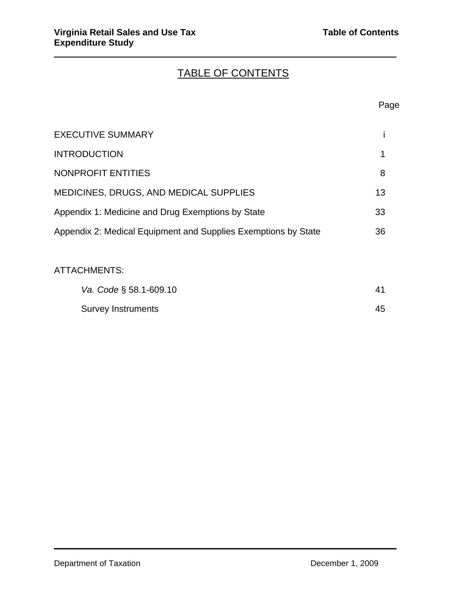# TABLE OF CONTENTS

 $\mathcal{L}_\mathcal{L} = \mathcal{L}_\mathcal{L} = \mathcal{L}_\mathcal{L} = \mathcal{L}_\mathcal{L} = \mathcal{L}_\mathcal{L} = \mathcal{L}_\mathcal{L} = \mathcal{L}_\mathcal{L} = \mathcal{L}_\mathcal{L} = \mathcal{L}_\mathcal{L} = \mathcal{L}_\mathcal{L} = \mathcal{L}_\mathcal{L} = \mathcal{L}_\mathcal{L} = \mathcal{L}_\mathcal{L} = \mathcal{L}_\mathcal{L} = \mathcal{L}_\mathcal{L} = \mathcal{L}_\mathcal{L} = \mathcal{L}_\mathcal{L}$ 

#### en de la provincia de la provincia de la provincia de la provincia de la provincia de la provincia de la provi

| <b>EXECUTIVE SUMMARY</b>                                       |    |
|----------------------------------------------------------------|----|
|                                                                |    |
| <b>INTRODUCTION</b>                                            |    |
| <b>NONPROFIT ENTITIES</b>                                      | 8  |
| <b>MEDICINES, DRUGS, AND MEDICAL SUPPLIES</b>                  | 13 |
| Appendix 1: Medicine and Drug Exemptions by State              | 33 |
| Appendix 2: Medical Equipment and Supplies Exemptions by State | 36 |

# ATTACHMENTS:

| Va. Code § 58.1-609.10 |    |
|------------------------|----|
| Survey Instruments     | 45 |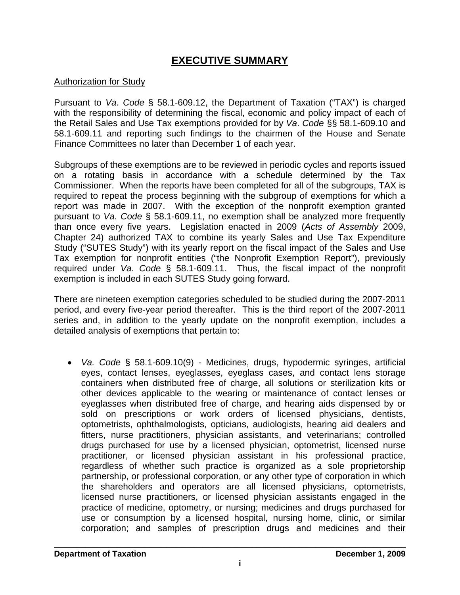# **EXECUTIVE SUMMARY**

# Authorization for Study

Pursuant to *Va*. *Code* § 58.1-609.12, the Department of Taxation ("TAX") is charged with the responsibility of determining the fiscal, economic and policy impact of each of the Retail Sales and Use Tax exemptions provided for by *Va*. *Code* §§ 58.1-609.10 and 58.1-609.11 and reporting such findings to the chairmen of the House and Senate Finance Committees no later than December 1 of each year.

Subgroups of these exemptions are to be reviewed in periodic cycles and reports issued on a rotating basis in accordance with a schedule determined by the Tax Commissioner. When the reports have been completed for all of the subgroups, TAX is required to repeat the process beginning with the subgroup of exemptions for which a report was made in 2007. With the exception of the nonprofit exemption granted pursuant to *Va. Code* § 58.1-609.11, no exemption shall be analyzed more frequently than once every five years. Legislation enacted in 2009 (*Acts of Assembly* 2009, Chapter 24) authorized TAX to combine its yearly Sales and Use Tax Expenditure Study ("SUTES Study") with its yearly report on the fiscal impact of the Sales and Use Tax exemption for nonprofit entities ("the Nonprofit Exemption Report"), previously required under *Va. Code* § 58.1-609.11. Thus, the fiscal impact of the nonprofit exemption is included in each SUTES Study going forward.

There are nineteen exemption categories scheduled to be studied during the 2007-2011 period, and every five-year period thereafter. This is the third report of the 2007-2011 series and, in addition to the yearly update on the nonprofit exemption, includes a detailed analysis of exemptions that pertain to:

• *Va. Code* § 58.1-609.10(9) - Medicines, drugs, hypodermic syringes, artificial eyes, contact lenses, eyeglasses, eyeglass cases, and contact lens storage containers when distributed free of charge, all solutions or sterilization kits or other devices applicable to the wearing or maintenance of contact lenses or eyeglasses when distributed free of charge, and hearing aids dispensed by or sold on prescriptions or work orders of licensed physicians, dentists, optometrists, ophthalmologists, opticians, audiologists, hearing aid dealers and fitters, nurse practitioners, physician assistants, and veterinarians; controlled drugs purchased for use by a licensed physician, optometrist, licensed nurse practitioner, or licensed physician assistant in his professional practice, regardless of whether such practice is organized as a sole proprietorship partnership, or professional corporation, or any other type of corporation in which the shareholders and operators are all licensed physicians, optometrists, licensed nurse practitioners, or licensed physician assistants engaged in the practice of medicine, optometry, or nursing; medicines and drugs purchased for use or consumption by a licensed hospital, nursing home, clinic, or similar corporation; and samples of prescription drugs and medicines and their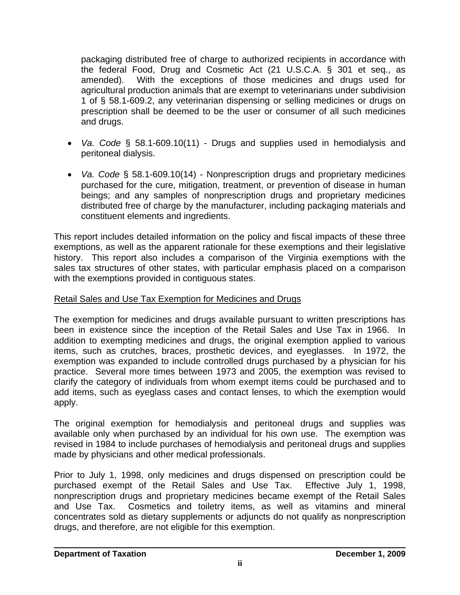packaging distributed free of charge to authorized recipients in accordance with the federal Food, Drug and Cosmetic Act (21 U.S.C.A. § 301 et seq., as amended). With the exceptions of those medicines and drugs used for agricultural production animals that are exempt to veterinarians under subdivision 1 of § 58.1-609.2, any veterinarian dispensing or selling medicines or drugs on prescription shall be deemed to be the user or consumer of all such medicines and drugs.

- *Va. Code* § 58.1-609.10(11) Drugs and supplies used in hemodialysis and peritoneal dialysis.
- *Va. Code* § 58.1-609.10(14) Nonprescription drugs and proprietary medicines purchased for the cure, mitigation, treatment, or prevention of disease in human beings; and any samples of nonprescription drugs and proprietary medicines distributed free of charge by the manufacturer, including packaging materials and constituent elements and ingredients.

This report includes detailed information on the policy and fiscal impacts of these three exemptions, as well as the apparent rationale for these exemptions and their legislative history. This report also includes a comparison of the Virginia exemptions with the sales tax structures of other states, with particular emphasis placed on a comparison with the exemptions provided in contiguous states.

# Retail Sales and Use Tax Exemption for Medicines and Drugs

The exemption for medicines and drugs available pursuant to written prescriptions has been in existence since the inception of the Retail Sales and Use Tax in 1966. In addition to exempting medicines and drugs, the original exemption applied to various items, such as crutches, braces, prosthetic devices, and eyeglasses. In 1972, the exemption was expanded to include controlled drugs purchased by a physician for his practice. Several more times between 1973 and 2005, the exemption was revised to clarify the category of individuals from whom exempt items could be purchased and to add items, such as eyeglass cases and contact lenses, to which the exemption would apply.

The original exemption for hemodialysis and peritoneal drugs and supplies was available only when purchased by an individual for his own use. The exemption was revised in 1984 to include purchases of hemodialysis and peritoneal drugs and supplies made by physicians and other medical professionals.

Prior to July 1, 1998, only medicines and drugs dispensed on prescription could be purchased exempt of the Retail Sales and Use Tax. Effective July 1, 1998, nonprescription drugs and proprietary medicines became exempt of the Retail Sales and Use Tax. Cosmetics and toiletry items, as well as vitamins and mineral concentrates sold as dietary supplements or adjuncts do not qualify as nonprescription drugs, and therefore, are not eligible for this exemption.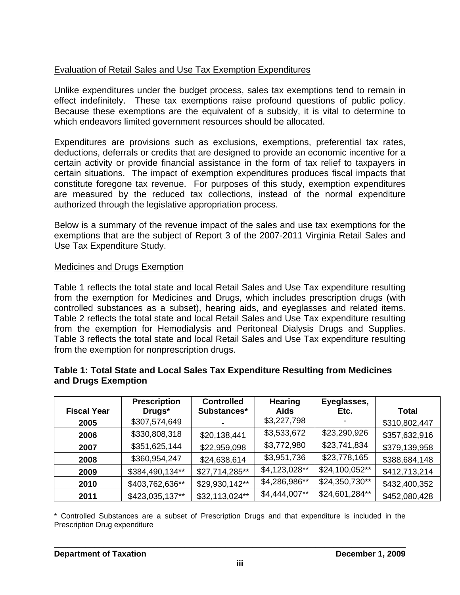# Evaluation of Retail Sales and Use Tax Exemption Expenditures

Unlike expenditures under the budget process, sales tax exemptions tend to remain in effect indefinitely. These tax exemptions raise profound questions of public policy. Because these exemptions are the equivalent of a subsidy, it is vital to determine to which endeavors limited government resources should be allocated.

Expenditures are provisions such as exclusions, exemptions, preferential tax rates, deductions, deferrals or credits that are designed to provide an economic incentive for a certain activity or provide financial assistance in the form of tax relief to taxpayers in certain situations. The impact of exemption expenditures produces fiscal impacts that constitute foregone tax revenue. For purposes of this study, exemption expenditures are measured by the reduced tax collections, instead of the normal expenditure authorized through the legislative appropriation process.

Below is a summary of the revenue impact of the sales and use tax exemptions for the exemptions that are the subject of Report 3 of the 2007-2011 Virginia Retail Sales and Use Tax Expenditure Study.

# Medicines and Drugs Exemption

Table 1 reflects the total state and local Retail Sales and Use Tax expenditure resulting from the exemption for Medicines and Drugs, which includes prescription drugs (with controlled substances as a subset), hearing aids, and eyeglasses and related items. Table 2 reflects the total state and local Retail Sales and Use Tax expenditure resulting from the exemption for Hemodialysis and Peritoneal Dialysis Drugs and Supplies. Table 3 reflects the total state and local Retail Sales and Use Tax expenditure resulting from the exemption for nonprescription drugs.

# **Table 1: Total State and Local Sales Tax Expenditure Resulting from Medicines and Drugs Exemption**

|                    | <b>Prescription</b> | <b>Controlled</b> | <b>Hearing</b> | Eyeglasses,    |               |
|--------------------|---------------------|-------------------|----------------|----------------|---------------|
| <b>Fiscal Year</b> | Drugs*              | Substances*       | <b>Aids</b>    | Etc.           | <b>Total</b>  |
| 2005               | \$307,574,649       |                   | \$3,227,798    |                | \$310,802,447 |
| 2006               | \$330,808,318       | \$20,138,441      | \$3,533,672    | \$23,290,926   | \$357,632,916 |
| 2007               | \$351,625,144       | \$22,959,098      | \$3,772,980    | \$23,741,834   | \$379,139,958 |
| 2008               | \$360,954,247       | \$24,638,614      | \$3,951,736    | \$23,778,165   | \$388,684,148 |
| 2009               | \$384,490,134**     | \$27,714,285**    | \$4,123,028**  | \$24,100,052** | \$412,713,214 |
| 2010               | \$403,762,636**     | \$29,930,142**    | \$4,286,986**  | \$24,350,730** | \$432,400,352 |
| 2011               | \$423,035,137**     | \$32,113,024**    | \$4,444,007**  | \$24,601,284** | \$452,080,428 |

\* Controlled Substances are a subset of Prescription Drugs and that expenditure is included in the Prescription Drug expenditure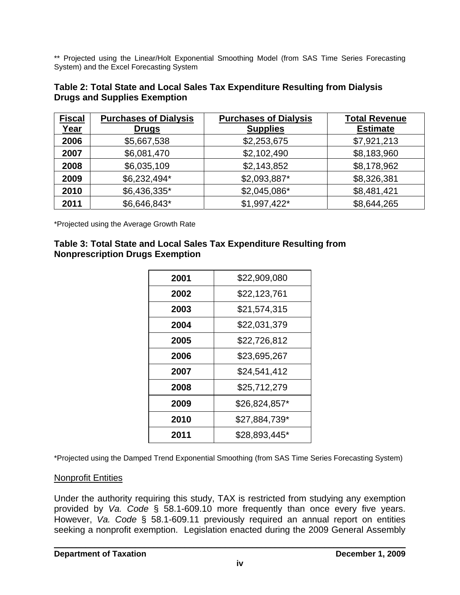\*\* Projected using the Linear/Holt Exponential Smoothing Model (from SAS Time Series Forecasting System) and the Excel Forecasting System

| Table 2: Total State and Local Sales Tax Expenditure Resulting from Dialysis |  |
|------------------------------------------------------------------------------|--|
| <b>Drugs and Supplies Exemption</b>                                          |  |

| <b>Fiscal</b><br>Year | <b>Purchases of Dialysis</b><br><b>Drugs</b> | <b>Purchases of Dialysis</b><br><b>Supplies</b> | <b>Total Revenue</b><br><b>Estimate</b> |
|-----------------------|----------------------------------------------|-------------------------------------------------|-----------------------------------------|
| 2006                  | \$5,667,538                                  | \$2,253,675                                     | \$7,921,213                             |
| 2007                  | \$6,081,470                                  | \$2,102,490                                     | \$8,183,960                             |
| 2008                  | \$6,035,109                                  | \$2,143,852                                     | \$8,178,962                             |
| 2009                  | \$6,232,494*                                 | \$2,093,887*                                    | \$8,326,381                             |
| 2010                  | \$6,436,335*                                 | \$2,045,086*                                    | \$8,481,421                             |
| 2011                  | \$6,646,843*                                 | $$1,997,422*$                                   | \$8,644,265                             |

\*Projected using the Average Growth Rate

### **Table 3: Total State and Local Sales Tax Expenditure Resulting from Nonprescription Drugs Exemption**

| \$22,909,080  |  |  |  |
|---------------|--|--|--|
| \$22,123,761  |  |  |  |
| \$21,574,315  |  |  |  |
| \$22,031,379  |  |  |  |
| \$22,726,812  |  |  |  |
| \$23,695,267  |  |  |  |
| \$24,541,412  |  |  |  |
| \$25,712,279  |  |  |  |
| \$26,824,857* |  |  |  |
| \$27,884,739* |  |  |  |
| \$28,893,445* |  |  |  |
|               |  |  |  |

\*Projected using the Damped Trend Exponential Smoothing (from SAS Time Series Forecasting System)

#### **Nonprofit Entities**

Under the authority requiring this study, TAX is restricted from studying any exemption provided by *Va. Code* § 58.1-609.10 more frequently than once every five years. However, *Va. Code* § 58.1-609.11 previously required an annual report on entities seeking a nonprofit exemption. Legislation enacted during the 2009 General Assembly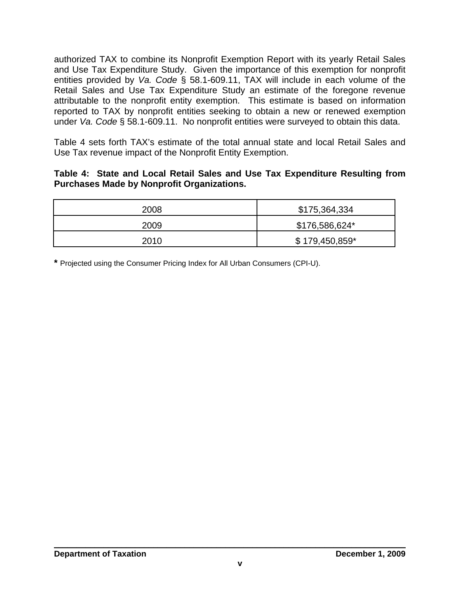authorized TAX to combine its Nonprofit Exemption Report with its yearly Retail Sales and Use Tax Expenditure Study. Given the importance of this exemption for nonprofit entities provided by *Va. Code* § 58.1-609.11, TAX will include in each volume of the Retail Sales and Use Tax Expenditure Study an estimate of the foregone revenue attributable to the nonprofit entity exemption. This estimate is based on information reported to TAX by nonprofit entities seeking to obtain a new or renewed exemption under *Va. Code* § 58.1-609.11. No nonprofit entities were surveyed to obtain this data.

Table 4 sets forth TAX's estimate of the total annual state and local Retail Sales and Use Tax revenue impact of the Nonprofit Entity Exemption.

# **Table 4: State and Local Retail Sales and Use Tax Expenditure Resulting from Purchases Made by Nonprofit Organizations.**

| 2008 | \$175,364,334   |
|------|-----------------|
| 2009 | \$176,586,624*  |
| 2010 | $$179,450,859*$ |

**\*** Projected using the Consumer Pricing Index for All Urban Consumers (CPI-U).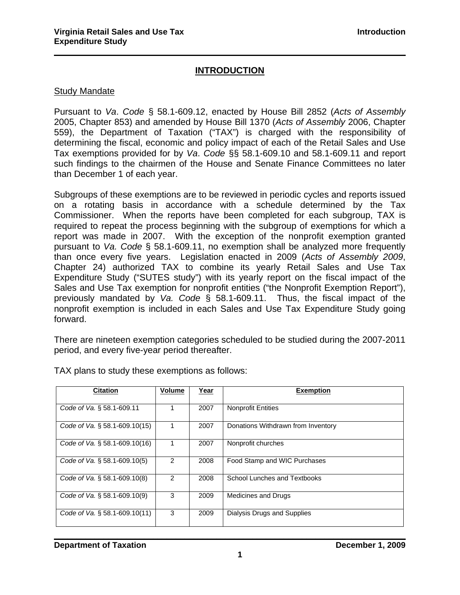# **INTRODUCTION**

 $\mathcal{L}_\mathcal{L} = \mathcal{L}_\mathcal{L} = \mathcal{L}_\mathcal{L} = \mathcal{L}_\mathcal{L} = \mathcal{L}_\mathcal{L} = \mathcal{L}_\mathcal{L} = \mathcal{L}_\mathcal{L} = \mathcal{L}_\mathcal{L} = \mathcal{L}_\mathcal{L} = \mathcal{L}_\mathcal{L} = \mathcal{L}_\mathcal{L} = \mathcal{L}_\mathcal{L} = \mathcal{L}_\mathcal{L} = \mathcal{L}_\mathcal{L} = \mathcal{L}_\mathcal{L} = \mathcal{L}_\mathcal{L} = \mathcal{L}_\mathcal{L}$ 

#### Study Mandate

Pursuant to *Va*. *Code* § 58.1-609.12, enacted by House Bill 2852 (*Acts of Assembly* 2005, Chapter 853) and amended by House Bill 1370 (*Acts of Assembly* 2006, Chapter 559), the Department of Taxation ("TAX") is charged with the responsibility of determining the fiscal, economic and policy impact of each of the Retail Sales and Use Tax exemptions provided for by *Va*. *Code* §§ 58.1-609.10 and 58.1-609.11 and report such findings to the chairmen of the House and Senate Finance Committees no later than December 1 of each year.

Subgroups of these exemptions are to be reviewed in periodic cycles and reports issued on a rotating basis in accordance with a schedule determined by the Tax Commissioner. When the reports have been completed for each subgroup, TAX is required to repeat the process beginning with the subgroup of exemptions for which a report was made in 2007. With the exception of the nonprofit exemption granted pursuant to *Va. Code* § 58.1-609.11, no exemption shall be analyzed more frequently than once every five years. Legislation enacted in 2009 (*Acts of Assembly 2009*, Chapter 24) authorized TAX to combine its yearly Retail Sales and Use Tax Expenditure Study ("SUTES study") with its yearly report on the fiscal impact of the Sales and Use Tax exemption for nonprofit entities ("the Nonprofit Exemption Report"), previously mandated by *Va. Code* § 58.1-609.11. Thus, the fiscal impact of the nonprofit exemption is included in each Sales and Use Tax Expenditure Study going forward.

There are nineteen exemption categories scheduled to be studied during the 2007-2011 period, and every five-year period thereafter.

| <b>Citation</b>                  | <b>Volume</b> | Year | <b>Exemption</b>                   |
|----------------------------------|---------------|------|------------------------------------|
| Code of Va. § 58.1-609.11        |               | 2007 | <b>Nonprofit Entities</b>          |
| Code of Va. § 58.1-609.10(15)    |               | 2007 | Donations Withdrawn from Inventory |
| Code of Va. $\S$ 58.1-609.10(16) |               | 2007 | Nonprofit churches                 |
| Code of Va. § 58.1-609.10(5)     | 2             | 2008 | Food Stamp and WIC Purchases       |
| Code of Va. § 58.1-609.10(8)     | $\mathcal{P}$ | 2008 | School Lunches and Textbooks       |
| Code of Va. § 58.1-609.10(9)     | 3             | 2009 | Medicines and Drugs                |
| Code of Va. § 58.1-609.10(11)    | 3             | 2009 | Dialysis Drugs and Supplies        |

TAX plans to study these exemptions as follows: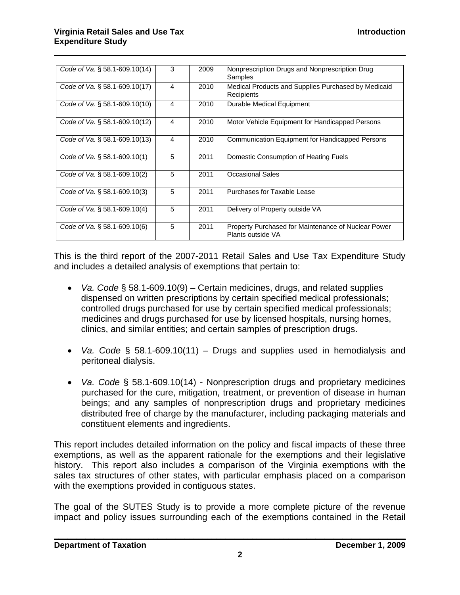| Code of Va. $\S$ 58.1-609.10(14) | 3              | 2009 | Nonprescription Drugs and Nonprescription Drug<br>Samples                |
|----------------------------------|----------------|------|--------------------------------------------------------------------------|
| Code of Va. § 58.1-609.10(17)    | 4              | 2010 | Medical Products and Supplies Purchased by Medicaid<br>Recipients        |
| Code of Va. $\S$ 58.1-609.10(10) | 4              | 2010 | Durable Medical Equipment                                                |
| Code of Va. § 58.1-609.10(12)    | $\overline{4}$ | 2010 | Motor Vehicle Equipment for Handicapped Persons                          |
| Code of Va. $\S$ 58.1-609.10(13) | 4              | 2010 | Communication Equipment for Handicapped Persons                          |
| Code of Va. $\S$ 58.1-609.10(1)  | 5              | 2011 | Domestic Consumption of Heating Fuels                                    |
| Code of Va. $\S$ 58.1-609.10(2)  | 5              | 2011 | <b>Occasional Sales</b>                                                  |
| Code of Va. § 58.1-609.10(3)     | 5              | 2011 | Purchases for Taxable Lease                                              |
| Code of Va. § 58.1-609.10(4)     | 5              | 2011 | Delivery of Property outside VA                                          |
| Code of Va. § 58.1-609.10(6)     | 5              | 2011 | Property Purchased for Maintenance of Nuclear Power<br>Plants outside VA |

 $\mathcal{L}_\mathcal{L} = \mathcal{L}_\mathcal{L} = \mathcal{L}_\mathcal{L} = \mathcal{L}_\mathcal{L} = \mathcal{L}_\mathcal{L} = \mathcal{L}_\mathcal{L} = \mathcal{L}_\mathcal{L} = \mathcal{L}_\mathcal{L} = \mathcal{L}_\mathcal{L} = \mathcal{L}_\mathcal{L} = \mathcal{L}_\mathcal{L} = \mathcal{L}_\mathcal{L} = \mathcal{L}_\mathcal{L} = \mathcal{L}_\mathcal{L} = \mathcal{L}_\mathcal{L} = \mathcal{L}_\mathcal{L} = \mathcal{L}_\mathcal{L}$ 

This is the third report of the 2007-2011 Retail Sales and Use Tax Expenditure Study and includes a detailed analysis of exemptions that pertain to:

- *Va. Code* § 58.1-609.10(9) Certain medicines, drugs, and related supplies dispensed on written prescriptions by certain specified medical professionals; controlled drugs purchased for use by certain specified medical professionals; medicines and drugs purchased for use by licensed hospitals, nursing homes, clinics, and similar entities; and certain samples of prescription drugs.
- *Va. Code* § 58.1-609.10(11) Drugs and supplies used in hemodialysis and peritoneal dialysis.
- *Va. Code* § 58.1-609.10(14) Nonprescription drugs and proprietary medicines purchased for the cure, mitigation, treatment, or prevention of disease in human beings; and any samples of nonprescription drugs and proprietary medicines distributed free of charge by the manufacturer, including packaging materials and constituent elements and ingredients.

This report includes detailed information on the policy and fiscal impacts of these three exemptions, as well as the apparent rationale for the exemptions and their legislative history. This report also includes a comparison of the Virginia exemptions with the sales tax structures of other states, with particular emphasis placed on a comparison with the exemptions provided in contiguous states.

The goal of the SUTES Study is to provide a more complete picture of the revenue impact and policy issues surrounding each of the exemptions contained in the Retail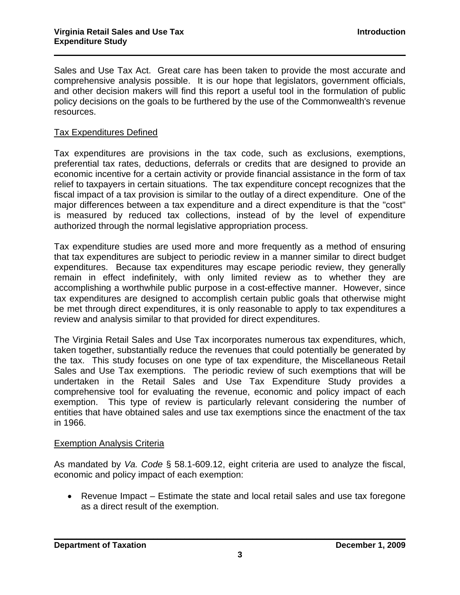Sales and Use Tax Act. Great care has been taken to provide the most accurate and comprehensive analysis possible. It is our hope that legislators, government officials, and other decision makers will find this report a useful tool in the formulation of public policy decisions on the goals to be furthered by the use of the Commonwealth's revenue resources.

 $\mathcal{L}_\mathcal{L} = \mathcal{L}_\mathcal{L} = \mathcal{L}_\mathcal{L} = \mathcal{L}_\mathcal{L} = \mathcal{L}_\mathcal{L} = \mathcal{L}_\mathcal{L} = \mathcal{L}_\mathcal{L} = \mathcal{L}_\mathcal{L} = \mathcal{L}_\mathcal{L} = \mathcal{L}_\mathcal{L} = \mathcal{L}_\mathcal{L} = \mathcal{L}_\mathcal{L} = \mathcal{L}_\mathcal{L} = \mathcal{L}_\mathcal{L} = \mathcal{L}_\mathcal{L} = \mathcal{L}_\mathcal{L} = \mathcal{L}_\mathcal{L}$ 

#### Tax Expenditures Defined

Tax expenditures are provisions in the tax code, such as exclusions, exemptions, preferential tax rates, deductions, deferrals or credits that are designed to provide an economic incentive for a certain activity or provide financial assistance in the form of tax relief to taxpayers in certain situations. The tax expenditure concept recognizes that the fiscal impact of a tax provision is similar to the outlay of a direct expenditure. One of the major differences between a tax expenditure and a direct expenditure is that the "cost" is measured by reduced tax collections, instead of by the level of expenditure authorized through the normal legislative appropriation process.

Tax expenditure studies are used more and more frequently as a method of ensuring that tax expenditures are subject to periodic review in a manner similar to direct budget expenditures. Because tax expenditures may escape periodic review, they generally remain in effect indefinitely, with only limited review as to whether they are accomplishing a worthwhile public purpose in a cost-effective manner. However, since tax expenditures are designed to accomplish certain public goals that otherwise might be met through direct expenditures, it is only reasonable to apply to tax expenditures a review and analysis similar to that provided for direct expenditures.

The Virginia Retail Sales and Use Tax incorporates numerous tax expenditures, which, taken together, substantially reduce the revenues that could potentially be generated by the tax. This study focuses on one type of tax expenditure, the Miscellaneous Retail Sales and Use Tax exemptions. The periodic review of such exemptions that will be undertaken in the Retail Sales and Use Tax Expenditure Study provides a comprehensive tool for evaluating the revenue, economic and policy impact of each exemption. This type of review is particularly relevant considering the number of entities that have obtained sales and use tax exemptions since the enactment of the tax in 1966.

#### Exemption Analysis Criteria

As mandated by *Va. Code* § 58.1-609.12, eight criteria are used to analyze the fiscal, economic and policy impact of each exemption:

• Revenue Impact – Estimate the state and local retail sales and use tax foregone as a direct result of the exemption.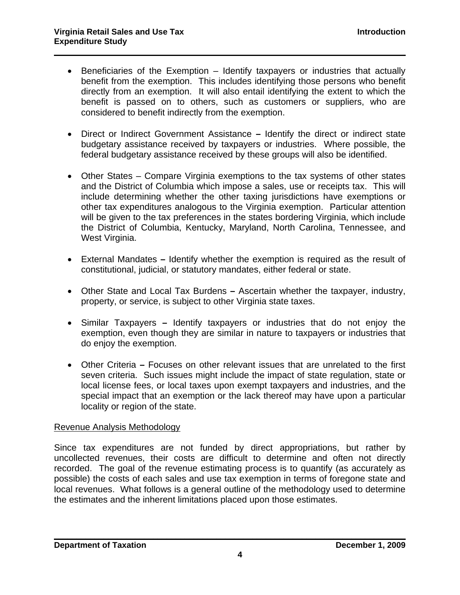• Beneficiaries of the Exemption – Identify taxpayers or industries that actually benefit from the exemption. This includes identifying those persons who benefit directly from an exemption. It will also entail identifying the extent to which the benefit is passed on to others, such as customers or suppliers, who are considered to benefit indirectly from the exemption.

 $\mathcal{L}_\mathcal{L} = \mathcal{L}_\mathcal{L} = \mathcal{L}_\mathcal{L} = \mathcal{L}_\mathcal{L} = \mathcal{L}_\mathcal{L} = \mathcal{L}_\mathcal{L} = \mathcal{L}_\mathcal{L} = \mathcal{L}_\mathcal{L} = \mathcal{L}_\mathcal{L} = \mathcal{L}_\mathcal{L} = \mathcal{L}_\mathcal{L} = \mathcal{L}_\mathcal{L} = \mathcal{L}_\mathcal{L} = \mathcal{L}_\mathcal{L} = \mathcal{L}_\mathcal{L} = \mathcal{L}_\mathcal{L} = \mathcal{L}_\mathcal{L}$ 

- Direct or Indirect Government AssistanceIdentify the direct or indirect state budgetary assistance received by taxpayers or industries. Where possible, the federal budgetary assistance received by these groups will also be identified.
- Other States Compare Virginia exemptions to the tax systems of other states and the District of Columbia which impose a sales, use or receipts tax. This will include determining whether the other taxing jurisdictions have exemptions or other tax expenditures analogous to the Virginia exemption. Particular attention will be given to the tax preferences in the states bordering Virginia, which include the District of Columbia, Kentucky, Maryland, North Carolina, Tennessee, and West Virginia.
- External MandatesIdentify whether the exemption is required as the result of constitutional, judicial, or statutory mandates, either federal or state.
- Other State and Local Tax BurdensAscertain whether the taxpayer, industry, property, or service, is subject to other Virginia state taxes.
- Similar TaxpayersIdentify taxpayers or industries that do not enjoy the exemption, even though they are similar in nature to taxpayers or industries that do enjoy the exemption.
- Other CriteriaFocuses on other relevant issues that are unrelated to the first seven criteria. Such issues might include the impact of state regulation, state or local license fees, or local taxes upon exempt taxpayers and industries, and the special impact that an exemption or the lack thereof may have upon a particular locality or region of the state.

#### Revenue Analysis Methodology

Since tax expenditures are not funded by direct appropriations, but rather by uncollected revenues, their costs are difficult to determine and often not directly recorded. The goal of the revenue estimating process is to quantify (as accurately as possible) the costs of each sales and use tax exemption in terms of foregone state and local revenues. What follows is a general outline of the methodology used to determine the estimates and the inherent limitations placed upon those estimates.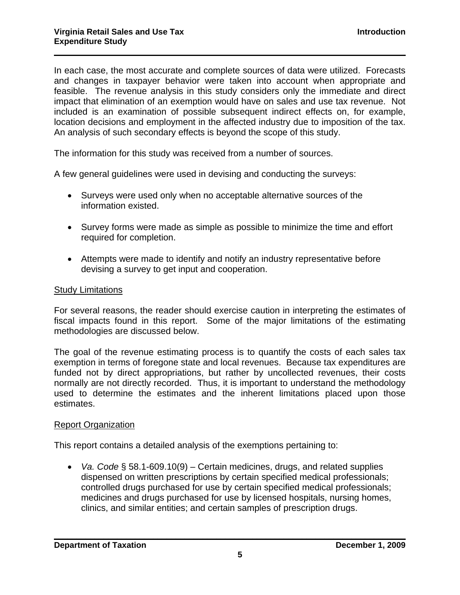In each case, the most accurate and complete sources of data were utilized. Forecasts and changes in taxpayer behavior were taken into account when appropriate and feasible. The revenue analysis in this study considers only the immediate and direct impact that elimination of an exemption would have on sales and use tax revenue. Not included is an examination of possible subsequent indirect effects on, for example, location decisions and employment in the affected industry due to imposition of the tax. An analysis of such secondary effects is beyond the scope of this study.

 $\mathcal{L}_\mathcal{L} = \mathcal{L}_\mathcal{L} = \mathcal{L}_\mathcal{L} = \mathcal{L}_\mathcal{L} = \mathcal{L}_\mathcal{L} = \mathcal{L}_\mathcal{L} = \mathcal{L}_\mathcal{L} = \mathcal{L}_\mathcal{L} = \mathcal{L}_\mathcal{L} = \mathcal{L}_\mathcal{L} = \mathcal{L}_\mathcal{L} = \mathcal{L}_\mathcal{L} = \mathcal{L}_\mathcal{L} = \mathcal{L}_\mathcal{L} = \mathcal{L}_\mathcal{L} = \mathcal{L}_\mathcal{L} = \mathcal{L}_\mathcal{L}$ 

The information for this study was received from a number of sources.

A few general guidelines were used in devising and conducting the surveys:

- Surveys were used only when no acceptable alternative sources of the information existed.
- Survey forms were made as simple as possible to minimize the time and effort required for completion.
- Attempts were made to identify and notify an industry representative before devising a survey to get input and cooperation.

#### Study Limitations

For several reasons, the reader should exercise caution in interpreting the estimates of fiscal impacts found in this report. Some of the major limitations of the estimating methodologies are discussed below.

The goal of the revenue estimating process is to quantify the costs of each sales tax exemption in terms of foregone state and local revenues. Because tax expenditures are funded not by direct appropriations, but rather by uncollected revenues, their costs normally are not directly recorded. Thus, it is important to understand the methodology used to determine the estimates and the inherent limitations placed upon those estimates.

#### Report Organization

This report contains a detailed analysis of the exemptions pertaining to:

• *Va. Code* § 58.1-609.10(9) – Certain medicines, drugs, and related supplies dispensed on written prescriptions by certain specified medical professionals; controlled drugs purchased for use by certain specified medical professionals; medicines and drugs purchased for use by licensed hospitals, nursing homes, clinics, and similar entities; and certain samples of prescription drugs.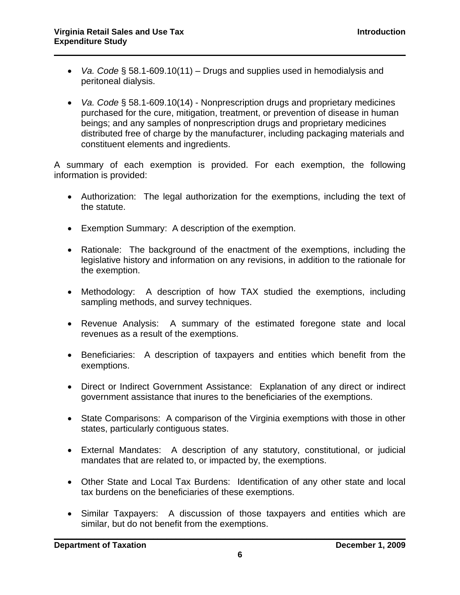- *Va. Code* § 58.1-609.10(11) Drugs and supplies used in hemodialysis and peritoneal dialysis.
- *Va. Code* § 58.1-609.10(14) Nonprescription drugs and proprietary medicines purchased for the cure, mitigation, treatment, or prevention of disease in human beings; and any samples of nonprescription drugs and proprietary medicines distributed free of charge by the manufacturer, including packaging materials and constituent elements and ingredients.

A summary of each exemption is provided. For each exemption, the following information is provided:

- Authorization: The legal authorization for the exemptions, including the text of the statute.
- Exemption Summary: A description of the exemption.
- Rationale: The background of the enactment of the exemptions, including the legislative history and information on any revisions, in addition to the rationale for the exemption.
- Methodology: A description of how TAX studied the exemptions, including sampling methods, and survey techniques.
- Revenue Analysis: A summary of the estimated foregone state and local revenues as a result of the exemptions.
- Beneficiaries: A description of taxpayers and entities which benefit from the exemptions.
- Direct or Indirect Government Assistance: Explanation of any direct or indirect government assistance that inures to the beneficiaries of the exemptions.
- State Comparisons: A comparison of the Virginia exemptions with those in other states, particularly contiguous states.
- External Mandates: A description of any statutory, constitutional, or judicial mandates that are related to, or impacted by, the exemptions.
- Other State and Local Tax Burdens: Identification of any other state and local tax burdens on the beneficiaries of these exemptions.
- Similar Taxpayers: A discussion of those taxpayers and entities which are similar, but do not benefit from the exemptions.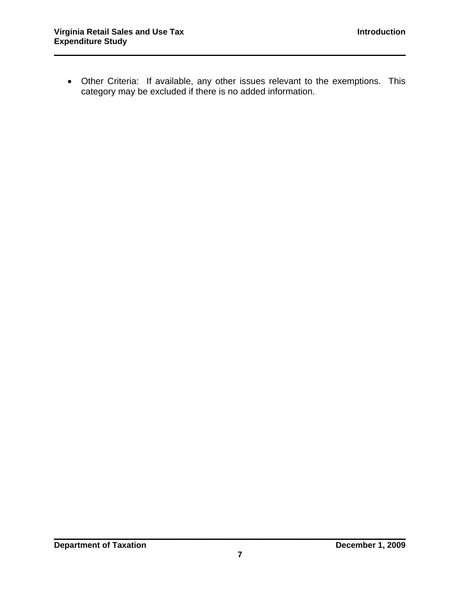• Other Criteria: If available, any other issues relevant to the exemptions. This category may be excluded if there is no added information.

 $\mathcal{L}_\mathcal{L} = \mathcal{L}_\mathcal{L} = \mathcal{L}_\mathcal{L} = \mathcal{L}_\mathcal{L} = \mathcal{L}_\mathcal{L} = \mathcal{L}_\mathcal{L} = \mathcal{L}_\mathcal{L} = \mathcal{L}_\mathcal{L} = \mathcal{L}_\mathcal{L} = \mathcal{L}_\mathcal{L} = \mathcal{L}_\mathcal{L} = \mathcal{L}_\mathcal{L} = \mathcal{L}_\mathcal{L} = \mathcal{L}_\mathcal{L} = \mathcal{L}_\mathcal{L} = \mathcal{L}_\mathcal{L} = \mathcal{L}_\mathcal{L}$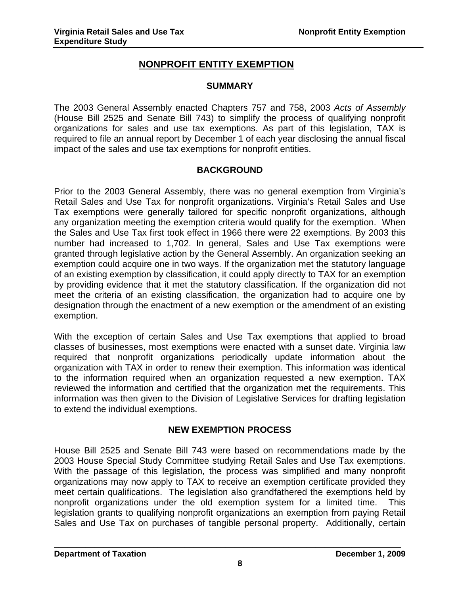# **NONPROFIT ENTITY EXEMPTION**

#### **SUMMARY**

The 2003 General Assembly enacted Chapters 757 and 758, 2003 *Acts of Assembly* (House Bill 2525 and Senate Bill 743) to simplify the process of qualifying nonprofit organizations for sales and use tax exemptions. As part of this legislation, TAX is required to file an annual report by December 1 of each year disclosing the annual fiscal impact of the sales and use tax exemptions for nonprofit entities.

# **BACKGROUND**

Prior to the 2003 General Assembly, there was no general exemption from Virginia's Retail Sales and Use Tax for nonprofit organizations. Virginia's Retail Sales and Use Tax exemptions were generally tailored for specific nonprofit organizations, although any organization meeting the exemption criteria would qualify for the exemption. When the Sales and Use Tax first took effect in 1966 there were 22 exemptions. By 2003 this number had increased to 1,702. In general, Sales and Use Tax exemptions were granted through legislative action by the General Assembly. An organization seeking an exemption could acquire one in two ways. If the organization met the statutory language of an existing exemption by classification, it could apply directly to TAX for an exemption by providing evidence that it met the statutory classification. If the organization did not meet the criteria of an existing classification, the organization had to acquire one by designation through the enactment of a new exemption or the amendment of an existing exemption.

With the exception of certain Sales and Use Tax exemptions that applied to broad classes of businesses, most exemptions were enacted with a sunset date. Virginia law required that nonprofit organizations periodically update information about the organization with TAX in order to renew their exemption. This information was identical to the information required when an organization requested a new exemption. TAX reviewed the information and certified that the organization met the requirements. This information was then given to the Division of Legislative Services for drafting legislation to extend the individual exemptions.

#### **NEW EXEMPTION PROCESS**

House Bill 2525 and Senate Bill 743 were based on recommendations made by the 2003 House Special Study Committee studying Retail Sales and Use Tax exemptions. With the passage of this legislation, the process was simplified and many nonprofit organizations may now apply to TAX to receive an exemption certificate provided they meet certain qualifications. The legislation also grandfathered the exemptions held by nonprofit organizations under the old exemption system for a limited time. This legislation grants to qualifying nonprofit organizations an exemption from paying Retail Sales and Use Tax on purchases of tangible personal property. Additionally, certain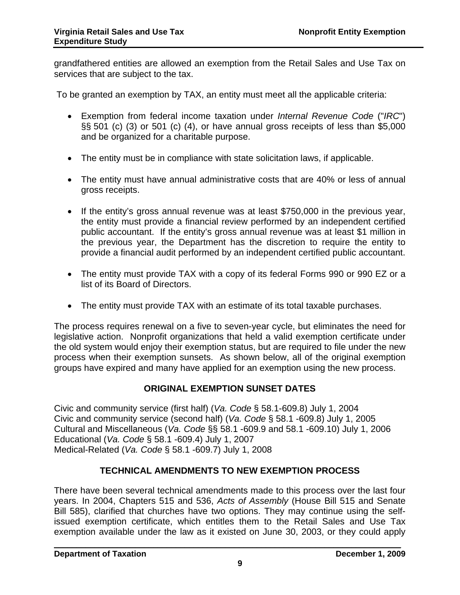grandfathered entities are allowed an exemption from the Retail Sales and Use Tax on services that are subject to the tax.

To be granted an exemption by TAX, an entity must meet all the applicable criteria:

- Exemption from federal income taxation under *Internal Revenue Code* ("*IRC*") §§ 501 (c) (3) or 501 (c) (4), or have annual gross receipts of less than \$5,000 and be organized for a charitable purpose.
- The entity must be in compliance with state solicitation laws, if applicable.
- The entity must have annual administrative costs that are 40% or less of annual gross receipts.
- If the entity's gross annual revenue was at least \$750,000 in the previous year, the entity must provide a financial review performed by an independent certified public accountant. If the entity's gross annual revenue was at least \$1 million in the previous year, the Department has the discretion to require the entity to provide a financial audit performed by an independent certified public accountant.
- The entity must provide TAX with a copy of its federal Forms 990 or 990 EZ or a list of its Board of Directors.
- The entity must provide TAX with an estimate of its total taxable purchases.

The process requires renewal on a five to seven-year cycle, but eliminates the need for legislative action. Nonprofit organizations that held a valid exemption certificate under the old system would enjoy their exemption status, but are required to file under the new process when their exemption sunsets. As shown below, all of the original exemption groups have expired and many have applied for an exemption using the new process.

# **ORIGINAL EXEMPTION SUNSET DATES**

Civic and community service (first half) (*Va. Code* § 58.1-609.8) July 1, 2004 Civic and community service (second half) (*Va. Code* § 58.1 -609.8) July 1, 2005 Cultural and Miscellaneous (*Va. Code* §§ 58.1 -609.9 and 58.1 -609.10) July 1, 2006 Educational (*Va. Code* § 58.1 -609.4) July 1, 2007 Medical-Related (*Va. Code* § 58.1 -609.7) July 1, 2008

# **TECHNICAL AMENDMENTS TO NEW EXEMPTION PROCESS**

There have been several technical amendments made to this process over the last four years. In 2004, Chapters 515 and 536, *Acts of Assembly* (House Bill 515 and Senate Bill 585), clarified that churches have two options. They may continue using the selfissued exemption certificate, which entitles them to the Retail Sales and Use Tax exemption available under the law as it existed on June 30, 2003, or they could apply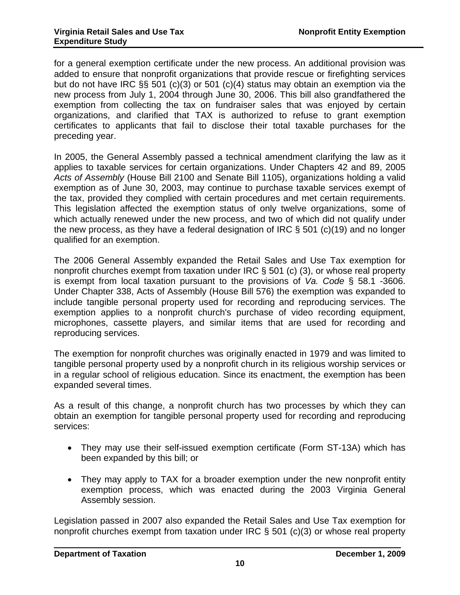for a general exemption certificate under the new process. An additional provision was added to ensure that nonprofit organizations that provide rescue or firefighting services but do not have IRC §§ 501 (c)(3) or 501 (c)(4) status may obtain an exemption via the new process from July 1, 2004 through June 30, 2006. This bill also grandfathered the exemption from collecting the tax on fundraiser sales that was enjoyed by certain organizations, and clarified that TAX is authorized to refuse to grant exemption certificates to applicants that fail to disclose their total taxable purchases for the preceding year.

In 2005, the General Assembly passed a technical amendment clarifying the law as it applies to taxable services for certain organizations. Under Chapters 42 and 89, 2005 *Acts of Assembly* (House Bill 2100 and Senate Bill 1105), organizations holding a valid exemption as of June 30, 2003, may continue to purchase taxable services exempt of the tax, provided they complied with certain procedures and met certain requirements. This legislation affected the exemption status of only twelve organizations, some of which actually renewed under the new process, and two of which did not qualify under the new process, as they have a federal designation of IRC § 501 (c)(19) and no longer qualified for an exemption.

The 2006 General Assembly expanded the Retail Sales and Use Tax exemption for nonprofit churches exempt from taxation under IRC § 501 (c) (3), or whose real property is exempt from local taxation pursuant to the provisions of *Va. Code* § 58.1 -3606. Under Chapter 338, Acts of Assembly (House Bill 576) the exemption was expanded to include tangible personal property used for recording and reproducing services. The exemption applies to a nonprofit church's purchase of video recording equipment, microphones, cassette players, and similar items that are used for recording and reproducing services.

The exemption for nonprofit churches was originally enacted in 1979 and was limited to tangible personal property used by a nonprofit church in its religious worship services or in a regular school of religious education. Since its enactment, the exemption has been expanded several times.

As a result of this change, a nonprofit church has two processes by which they can obtain an exemption for tangible personal property used for recording and reproducing services:

- They may use their self-issued exemption certificate (Form ST-13A) which has been expanded by this bill; or
- They may apply to TAX for a broader exemption under the new nonprofit entity exemption process, which was enacted during the 2003 Virginia General Assembly session.

Legislation passed in 2007 also expanded the Retail Sales and Use Tax exemption for nonprofit churches exempt from taxation under IRC § 501 (c)(3) or whose real property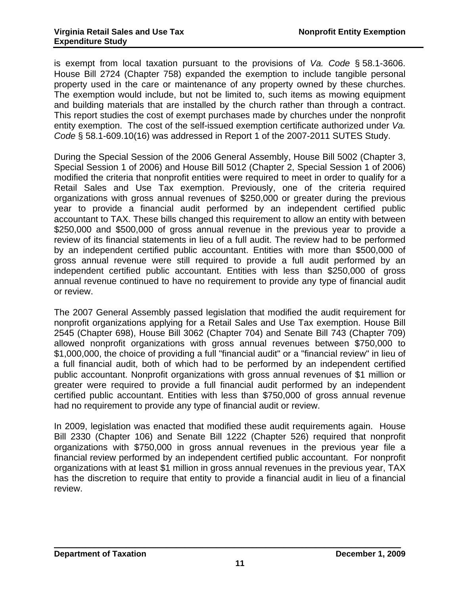is exempt from local taxation pursuant to the provisions of *Va. Code* § 58.1-3606. House Bill 2724 (Chapter 758) expanded the exemption to include tangible personal property used in the care or maintenance of any property owned by these churches. The exemption would include, but not be limited to, such items as mowing equipment and building materials that are installed by the church rather than through a contract. This report studies the cost of exempt purchases made by churches under the nonprofit entity exemption. The cost of the self-issued exemption certificate authorized under *Va. Code* § 58.1-609.10(16) was addressed in Report 1 of the 2007-2011 SUTES Study.

During the Special Session of the 2006 General Assembly, House Bill 5002 (Chapter 3, Special Session 1 of 2006) and House Bill 5012 (Chapter 2, Special Session 1 of 2006) modified the criteria that nonprofit entities were required to meet in order to qualify for a Retail Sales and Use Tax exemption. Previously, one of the criteria required organizations with gross annual revenues of \$250,000 or greater during the previous year to provide a financial audit performed by an independent certified public accountant to TAX. These bills changed this requirement to allow an entity with between \$250,000 and \$500,000 of gross annual revenue in the previous year to provide a review of its financial statements in lieu of a full audit. The review had to be performed by an independent certified public accountant. Entities with more than \$500,000 of gross annual revenue were still required to provide a full audit performed by an independent certified public accountant. Entities with less than \$250,000 of gross annual revenue continued to have no requirement to provide any type of financial audit or review.

The 2007 General Assembly passed legislation that modified the audit requirement for nonprofit organizations applying for a Retail Sales and Use Tax exemption. House Bill 2545 (Chapter 698), House Bill 3062 (Chapter 704) and Senate Bill 743 (Chapter 709) allowed nonprofit organizations with gross annual revenues between \$750,000 to \$1,000,000, the choice of providing a full "financial audit" or a "financial review" in lieu of a full financial audit, both of which had to be performed by an independent certified public accountant. Nonprofit organizations with gross annual revenues of \$1 million or greater were required to provide a full financial audit performed by an independent certified public accountant. Entities with less than \$750,000 of gross annual revenue had no requirement to provide any type of financial audit or review.

In 2009, legislation was enacted that modified these audit requirements again. House Bill 2330 (Chapter 106) and Senate Bill 1222 (Chapter 526) required that nonprofit organizations with \$750,000 in gross annual revenues in the previous year file a financial review performed by an independent certified public accountant. For nonprofit organizations with at least \$1 million in gross annual revenues in the previous year, TAX has the discretion to require that entity to provide a financial audit in lieu of a financial review.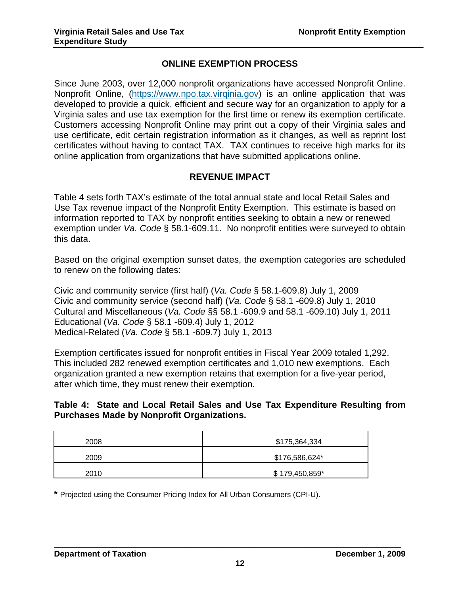# **ONLINE EXEMPTION PROCESS**

Since June 2003, over 12,000 nonprofit organizations have accessed Nonprofit Online. Nonprofit Online, ([https://www.npo.tax.virqinia.gov](https://www.npo.tax.virqinia.gov/)) is an online application that was developed to provide a quick, efficient and secure way for an organization to apply for a Virginia sales and use tax exemption for the first time or renew its exemption certificate. Customers accessing Nonprofit Online may print out a copy of their Virginia sales and use certificate, edit certain registration information as it changes, as well as reprint lost certificates without having to contact TAX. TAX continues to receive high marks for its online application from organizations that have submitted applications online.

# **REVENUE IMPACT**

Table 4 sets forth TAX's estimate of the total annual state and local Retail Sales and Use Tax revenue impact of the Nonprofit Entity Exemption. This estimate is based on information reported to TAX by nonprofit entities seeking to obtain a new or renewed exemption under *Va. Code* § 58.1-609.11. No nonprofit entities were surveyed to obtain this data.

Based on the original exemption sunset dates, the exemption categories are scheduled to renew on the following dates:

Civic and community service (first half) (*Va. Code* § 58.1-609.8) July 1, 2009 Civic and community service (second half) (*Va. Code* § 58.1 -609.8) July 1, 2010 Cultural and Miscellaneous (*Va. Code* §§ 58.1 -609.9 and 58.1 -609.10) July 1, 2011 Educational (*Va. Code* § 58.1 -609.4) July 1, 2012 Medical-Related (*Va. Code* § 58.1 -609.7) July 1, 2013

Exemption certificates issued for nonprofit entities in Fiscal Year 2009 totaled 1,292. This included 282 renewed exemption certificates and 1,010 new exemptions. Each organization granted a new exemption retains that exemption for a five-year period, after which time, they must renew their exemption.

#### **Table 4: State and Local Retail Sales and Use Tax Expenditure Resulting from Purchases Made by Nonprofit Organizations.**

| 2008 | \$175,364,334  |
|------|----------------|
| 2009 | \$176,586,624* |
| 2010 | \$179,450,859* |

**\*** Projected using the Consumer Pricing Index for All Urban Consumers (CPI-U).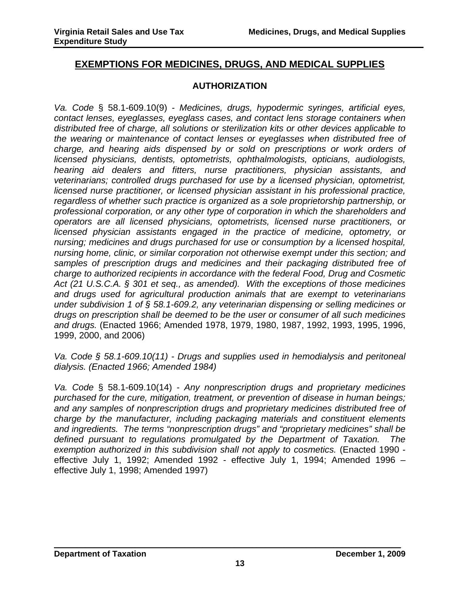# **EXEMPTIONS FOR MEDICINES, DRUGS, AND MEDICAL SUPPLIES**

#### **AUTHORIZATION**

*Va. Code* § 58.1-609.10(9) - *Medicines, drugs, hypodermic syringes, artificial eyes, contact lenses, eyeglasses, eyeglass cases, and contact lens storage containers when distributed free of charge, all solutions or sterilization kits or other devices applicable to the wearing or maintenance of contact lenses or eyeglasses when distributed free of charge, and hearing aids dispensed by or sold on prescriptions or work orders of licensed physicians, dentists, optometrists, ophthalmologists, opticians, audiologists, hearing aid dealers and fitters, nurse practitioners, physician assistants, and veterinarians; controlled drugs purchased for use by a licensed physician, optometrist, licensed nurse practitioner, or licensed physician assistant in his professional practice, regardless of whether such practice is organized as a sole proprietorship partnership, or professional corporation, or any other type of corporation in which the shareholders and operators are all licensed physicians, optometrists, licensed nurse practitioners, or licensed physician assistants engaged in the practice of medicine, optometry, or nursing; medicines and drugs purchased for use or consumption by a licensed hospital, nursing home, clinic, or similar corporation not otherwise exempt under this section; and samples of prescription drugs and medicines and their packaging distributed free of charge to authorized recipients in accordance with the federal Food, Drug and Cosmetic Act (21 U.S.C.A. § 301 et seq., as amended). With the exceptions of those medicines and drugs used for agricultural production animals that are exempt to veterinarians under subdivision 1 of § 58.1-609.2, any veterinarian dispensing or selling medicines or drugs on prescription shall be deemed to be the user or consumer of all such medicines and drugs.* (Enacted 1966; Amended 1978, 1979, 1980, 1987, 1992, 1993, 1995, 1996, 1999, 2000, and 2006)

*Va. Code § 58.1-609.10(11) - Drugs and supplies used in hemodialysis and peritoneal dialysis. (Enacted 1966; Amended 1984)* 

*Va. Code* § 58.1-609.10(14) - *Any nonprescription drugs and proprietary medicines purchased for the cure, mitigation, treatment, or prevention of disease in human beings; and any samples of nonprescription drugs and proprietary medicines distributed free of charge by the manufacturer, including packaging materials and constituent elements and ingredients. The terms "nonprescription drugs" and "proprietary medicines" shall be defined pursuant to regulations promulgated by the Department of Taxation. The exemption authorized in this subdivision shall not apply to cosmetics.* (Enacted 1990 effective July 1, 1992; Amended 1992 - effective July 1, 1994; Amended 1996 – effective July 1, 1998; Amended 1997)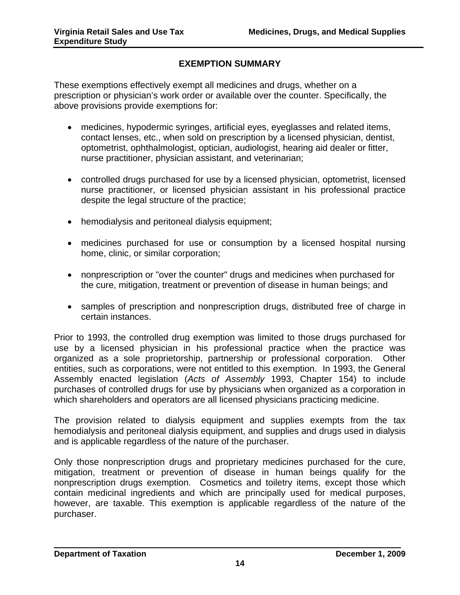# **EXEMPTION SUMMARY**

These exemptions effectively exempt all medicines and drugs, whether on a prescription or physician's work order or available over the counter. Specifically, the above provisions provide exemptions for:

- medicines, hypodermic syringes, artificial eyes, eyeglasses and related items, contact lenses, etc., when sold on prescription by a licensed physician, dentist, optometrist, ophthalmologist, optician, audiologist, hearing aid dealer or fitter, nurse practitioner, physician assistant, and veterinarian;
- controlled drugs purchased for use by a licensed physician, optometrist, licensed nurse practitioner, or licensed physician assistant in his professional practice despite the legal structure of the practice;
- hemodialysis and peritoneal dialysis equipment;
- medicines purchased for use or consumption by a licensed hospital nursing home, clinic, or similar corporation;
- nonprescription or "over the counter" drugs and medicines when purchased for the cure, mitigation, treatment or prevention of disease in human beings; and
- samples of prescription and nonprescription drugs, distributed free of charge in certain instances.

Prior to 1993, the controlled drug exemption was limited to those drugs purchased for use by a licensed physician in his professional practice when the practice was organized as a sole proprietorship, partnership or professional corporation. Other entities, such as corporations, were not entitled to this exemption. In 1993, the General Assembly enacted legislation (*Acts of Assembly* 1993, Chapter 154) to include purchases of controlled drugs for use by physicians when organized as a corporation in which shareholders and operators are all licensed physicians practicing medicine.

The provision related to dialysis equipment and supplies exempts from the tax hemodialysis and peritoneal dialysis equipment, and supplies and drugs used in dialysis and is applicable regardless of the nature of the purchaser.

Only those nonprescription drugs and proprietary medicines purchased for the cure, mitigation, treatment or prevention of disease in human beings qualify for the nonprescription drugs exemption. Cosmetics and toiletry items, except those which contain medicinal ingredients and which are principally used for medical purposes, however, are taxable. This exemption is applicable regardless of the nature of the purchaser.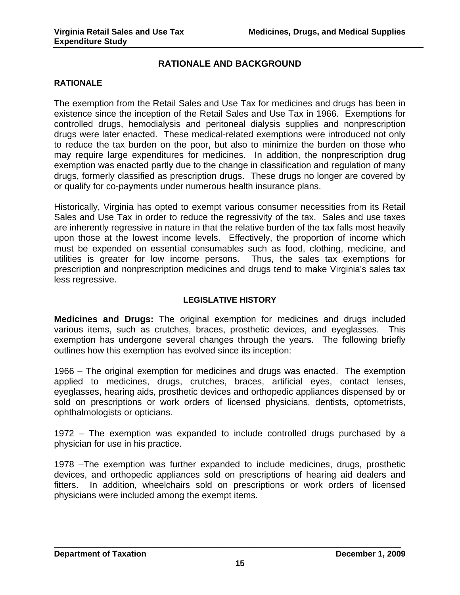# **RATIONALE AND BACKGROUND**

#### **RATIONALE**

The exemption from the Retail Sales and Use Tax for medicines and drugs has been in existence since the inception of the Retail Sales and Use Tax in 1966. Exemptions for controlled drugs, hemodialysis and peritoneal dialysis supplies and nonprescription drugs were later enacted. These medical-related exemptions were introduced not only to reduce the tax burden on the poor, but also to minimize the burden on those who may require large expenditures for medicines. In addition, the nonprescription drug exemption was enacted partly due to the change in classification and regulation of many drugs, formerly classified as prescription drugs. These drugs no longer are covered by or qualify for co-payments under numerous health insurance plans.

Historically, Virginia has opted to exempt various consumer necessities from its Retail Sales and Use Tax in order to reduce the regressivity of the tax. Sales and use taxes are inherently regressive in nature in that the relative burden of the tax falls most heavily upon those at the lowest income levels. Effectively, the proportion of income which must be expended on essential consumables such as food, clothing, medicine, and utilities is greater for low income persons. Thus, the sales tax exemptions for prescription and nonprescription medicines and drugs tend to make Virginia's sales tax less regressive.

#### **LEGISLATIVE HISTORY**

**Medicines and Drugs:** The original exemption for medicines and drugs included various items, such as crutches, braces, prosthetic devices, and eyeglasses. This exemption has undergone several changes through the years. The following briefly outlines how this exemption has evolved since its inception:

1966 – The original exemption for medicines and drugs was enacted. The exemption applied to medicines, drugs, crutches, braces, artificial eyes, contact lenses, eyeglasses, hearing aids, prosthetic devices and orthopedic appliances dispensed by or sold on prescriptions or work orders of licensed physicians, dentists, optometrists, ophthalmologists or opticians.

1972 – The exemption was expanded to include controlled drugs purchased by a physician for use in his practice.

1978 –The exemption was further expanded to include medicines, drugs, prosthetic devices, and orthopedic appliances sold on prescriptions of hearing aid dealers and fitters. In addition, wheelchairs sold on prescriptions or work orders of licensed physicians were included among the exempt items.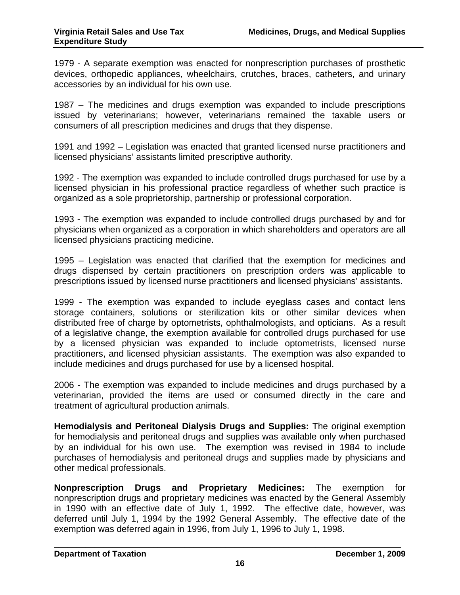1979 - A separate exemption was enacted for nonprescription purchases of prosthetic devices, orthopedic appliances, wheelchairs, crutches, braces, catheters, and urinary accessories by an individual for his own use.

1987 – The medicines and drugs exemption was expanded to include prescriptions issued by veterinarians; however, veterinarians remained the taxable users or consumers of all prescription medicines and drugs that they dispense.

1991 and 1992 – Legislation was enacted that granted licensed nurse practitioners and licensed physicians' assistants limited prescriptive authority.

1992 - The exemption was expanded to include controlled drugs purchased for use by a licensed physician in his professional practice regardless of whether such practice is organized as a sole proprietorship, partnership or professional corporation.

1993 - The exemption was expanded to include controlled drugs purchased by and for physicians when organized as a corporation in which shareholders and operators are all licensed physicians practicing medicine.

1995 – Legislation was enacted that clarified that the exemption for medicines and drugs dispensed by certain practitioners on prescription orders was applicable to prescriptions issued by licensed nurse practitioners and licensed physicians' assistants.

1999 - The exemption was expanded to include eyeglass cases and contact lens storage containers, solutions or sterilization kits or other similar devices when distributed free of charge by optometrists, ophthalmologists, and opticians. As a result of a legislative change, the exemption available for controlled drugs purchased for use by a licensed physician was expanded to include optometrists, licensed nurse practitioners, and licensed physician assistants. The exemption was also expanded to include medicines and drugs purchased for use by a licensed hospital.

2006 - The exemption was expanded to include medicines and drugs purchased by a veterinarian, provided the items are used or consumed directly in the care and treatment of agricultural production animals.

**Hemodialysis and Peritoneal Dialysis Drugs and Supplies:** The original exemption for hemodialysis and peritoneal drugs and supplies was available only when purchased by an individual for his own use. The exemption was revised in 1984 to include purchases of hemodialysis and peritoneal drugs and supplies made by physicians and other medical professionals.

**Nonprescription Drugs and Proprietary Medicines:** The exemption for nonprescription drugs and proprietary medicines was enacted by the General Assembly in 1990 with an effective date of July 1, 1992. The effective date, however, was deferred until July 1, 1994 by the 1992 General Assembly. The effective date of the exemption was deferred again in 1996, from July 1, 1996 to July 1, 1998.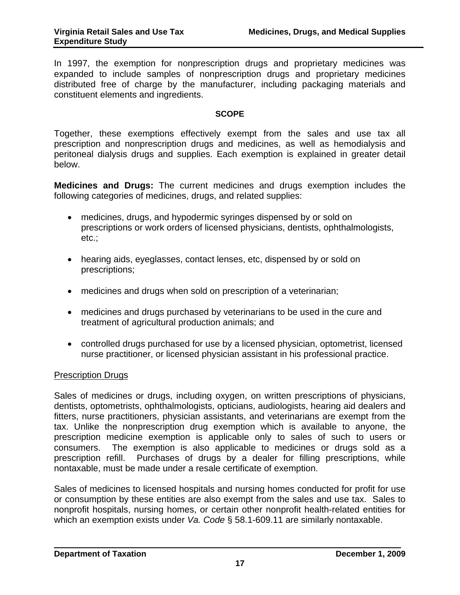In 1997, the exemption for nonprescription drugs and proprietary medicines was expanded to include samples of nonprescription drugs and proprietary medicines distributed free of charge by the manufacturer, including packaging materials and constituent elements and ingredients.

#### **SCOPE**

Together, these exemptions effectively exempt from the sales and use tax all prescription and nonprescription drugs and medicines, as well as hemodialysis and peritoneal dialysis drugs and supplies. Each exemption is explained in greater detail below.

**Medicines and Drugs:** The current medicines and drugs exemption includes the following categories of medicines, drugs, and related supplies:

- medicines, drugs, and hypodermic syringes dispensed by or sold on prescriptions or work orders of licensed physicians, dentists, ophthalmologists, etc.;
- hearing aids, eyeglasses, contact lenses, etc, dispensed by or sold on prescriptions;
- medicines and drugs when sold on prescription of a veterinarian;
- medicines and drugs purchased by veterinarians to be used in the cure and treatment of agricultural production animals; and
- controlled drugs purchased for use by a licensed physician, optometrist, licensed nurse practitioner, or licensed physician assistant in his professional practice.

#### Prescription Drugs

Sales of medicines or drugs, including oxygen, on written prescriptions of physicians, dentists, optometrists, ophthalmologists, opticians, audiologists, hearing aid dealers and fitters, nurse practitioners, physician assistants, and veterinarians are exempt from the tax. Unlike the nonprescription drug exemption which is available to anyone, the prescription medicine exemption is applicable only to sales of such to users or consumers. The exemption is also applicable to medicines or drugs sold as a prescription refill. Purchases of drugs by a dealer for filling prescriptions, while nontaxable, must be made under a resale certificate of exemption.

Sales of medicines to licensed hospitals and nursing homes conducted for profit for use or consumption by these entities are also exempt from the sales and use tax. Sales to nonprofit hospitals, nursing homes, or certain other nonprofit health-related entities for which an exemption exists under *Va. Code* § 58.1-609.11 are similarly nontaxable.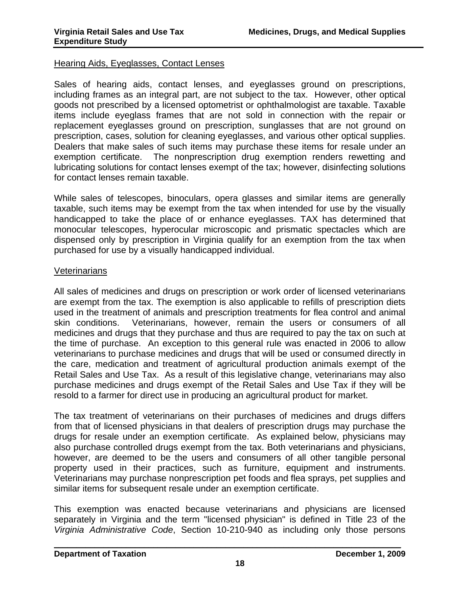#### Hearing Aids, Eyeglasses, Contact Lenses

Sales of hearing aids, contact lenses, and eyeglasses ground on prescriptions, including frames as an integral part, are not subject to the tax. However, other optical goods not prescribed by a licensed optometrist or ophthalmologist are taxable. Taxable items include eyeglass frames that are not sold in connection with the repair or replacement eyeglasses ground on prescription, sunglasses that are not ground on prescription, cases, solution for cleaning eyeglasses, and various other optical supplies. Dealers that make sales of such items may purchase these items for resale under an exemption certificate. The nonprescription drug exemption renders rewetting and lubricating solutions for contact lenses exempt of the tax; however, disinfecting solutions for contact lenses remain taxable.

While sales of telescopes, binoculars, opera glasses and similar items are generally taxable, such items may be exempt from the tax when intended for use by the visually handicapped to take the place of or enhance eyeglasses. TAX has determined that monocular telescopes, hyperocular microscopic and prismatic spectacles which are dispensed only by prescription in Virginia qualify for an exemption from the tax when purchased for use by a visually handicapped individual.

#### **Veterinarians**

All sales of medicines and drugs on prescription or work order of licensed veterinarians are exempt from the tax. The exemption is also applicable to refills of prescription diets used in the treatment of animals and prescription treatments for flea control and animal skin conditions. Veterinarians, however, remain the users or consumers of all medicines and drugs that they purchase and thus are required to pay the tax on such at the time of purchase. An exception to this general rule was enacted in 2006 to allow veterinarians to purchase medicines and drugs that will be used or consumed directly in the care, medication and treatment of agricultural production animals exempt of the Retail Sales and Use Tax. As a result of this legislative change, veterinarians may also purchase medicines and drugs exempt of the Retail Sales and Use Tax if they will be resold to a farmer for direct use in producing an agricultural product for market.

The tax treatment of veterinarians on their purchases of medicines and drugs differs from that of licensed physicians in that dealers of prescription drugs may purchase the drugs for resale under an exemption certificate. As explained below, physicians may also purchase controlled drugs exempt from the tax. Both veterinarians and physicians, however, are deemed to be the users and consumers of all other tangible personal property used in their practices, such as furniture, equipment and instruments. Veterinarians may purchase nonprescription pet foods and flea sprays, pet supplies and similar items for subsequent resale under an exemption certificate.

This exemption was enacted because veterinarians and physicians are licensed separately in Virginia and the term "licensed physician" is defined in Title 23 of the *Virginia Administrative Code*, Section 10-210-940 as including only those persons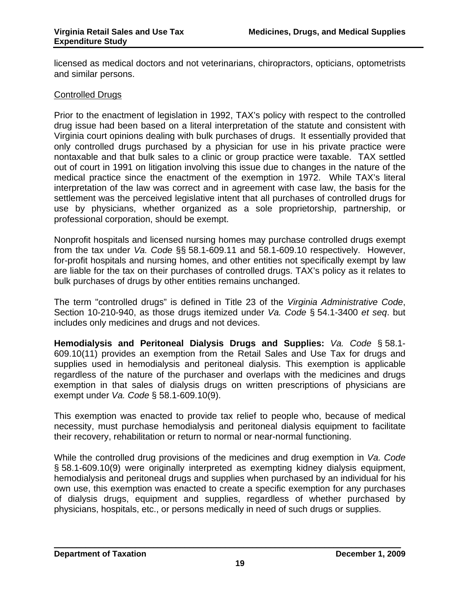licensed as medical doctors and not veterinarians, chiropractors, opticians, optometrists and similar persons.

#### Controlled Drugs

Prior to the enactment of legislation in 1992, TAX's policy with respect to the controlled drug issue had been based on a literal interpretation of the statute and consistent with Virginia court opinions dealing with bulk purchases of drugs. It essentially provided that only controlled drugs purchased by a physician for use in his private practice were nontaxable and that bulk sales to a clinic or group practice were taxable. TAX settled out of court in 1991 on litigation involving this issue due to changes in the nature of the medical practice since the enactment of the exemption in 1972. While TAX's literal interpretation of the law was correct and in agreement with case law, the basis for the settlement was the perceived legislative intent that all purchases of controlled drugs for use by physicians, whether organized as a sole proprietorship, partnership, or professional corporation, should be exempt.

Nonprofit hospitals and licensed nursing homes may purchase controlled drugs exempt from the tax under *Va. Code* §§ 58.1-609.11 and 58.1-609.10 respectively. However, for-profit hospitals and nursing homes, and other entities not specifically exempt by law are liable for the tax on their purchases of controlled drugs. TAX's policy as it relates to bulk purchases of drugs by other entities remains unchanged.

The term "controlled drugs" is defined in Title 23 of the *Virginia Administrative Code*, Section 10-210-940, as those drugs itemized under *Va. Code* § 54.1-3400 *et seq*. but includes only medicines and drugs and not devices.

**Hemodialysis and Peritoneal Dialysis Drugs and Supplies:** *Va. Code* § 58.1- 609.10(11) provides an exemption from the Retail Sales and Use Tax for drugs and supplies used in hemodialysis and peritoneal dialysis. This exemption is applicable regardless of the nature of the purchaser and overlaps with the medicines and drugs exemption in that sales of dialysis drugs on written prescriptions of physicians are exempt under *Va. Code* § 58.1-609.10(9).

This exemption was enacted to provide tax relief to people who, because of medical necessity, must purchase hemodialysis and peritoneal dialysis equipment to facilitate their recovery, rehabilitation or return to normal or near-normal functioning.

While the controlled drug provisions of the medicines and drug exemption in *Va. Code* § 58.1-609.10(9) were originally interpreted as exempting kidney dialysis equipment, hemodialysis and peritoneal drugs and supplies when purchased by an individual for his own use, this exemption was enacted to create a specific exemption for any purchases of dialysis drugs, equipment and supplies, regardless of whether purchased by physicians, hospitals, etc., or persons medically in need of such drugs or supplies.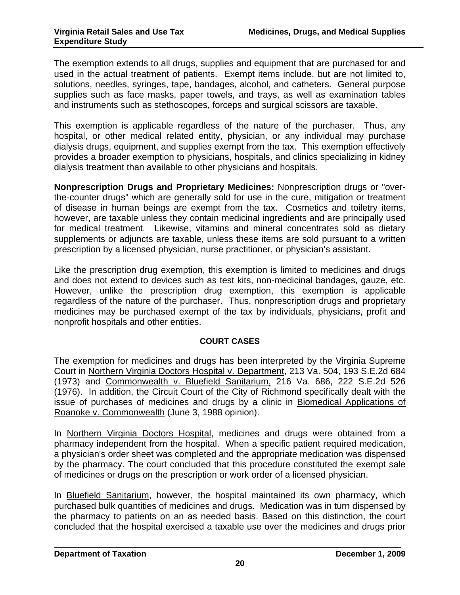The exemption extends to all drugs, supplies and equipment that are purchased for and used in the actual treatment of patients. Exempt items include, but are not limited to, solutions, needles, syringes, tape, bandages, alcohol, and catheters. General purpose supplies such as face masks, paper towels, and trays, as well as examination tables and instruments such as stethoscopes, forceps and surgical scissors are taxable.

This exemption is applicable regardless of the nature of the purchaser. Thus, any hospital, or other medical related entity, physician, or any individual may purchase dialysis drugs, equipment, and supplies exempt from the tax. This exemption effectively provides a broader exemption to physicians, hospitals, and clinics specializing in kidney dialysis treatment than available to other physicians and hospitals.

**Nonprescription Drugs and Proprietary Medicines:** Nonprescription drugs or "overthe-counter drugs" which are generally sold for use in the cure, mitigation or treatment of disease in human beings are exempt from the tax. Cosmetics and toiletry items, however, are taxable unless they contain medicinal ingredients and are principally used for medical treatment. Likewise, vitamins and mineral concentrates sold as dietary supplements or adjuncts are taxable, unless these items are sold pursuant to a written prescription by a licensed physician, nurse practitioner, or physician's assistant.

Like the prescription drug exemption, this exemption is limited to medicines and drugs and does not extend to devices such as test kits, non-medicinal bandages, gauze, etc. However, unlike the prescription drug exemption, this exemption is applicable regardless of the nature of the purchaser. Thus, nonprescription drugs and proprietary medicines may be purchased exempt of the tax by individuals, physicians, profit and nonprofit hospitals and other entities.

#### **COURT CASES**

The exemption for medicines and drugs has been interpreted by the Virginia Supreme Court in Northern Virginia Doctors Hospital v. Department, 213 Va. 504, 193 S.E.2d 684 (1973) and Commonwealth v. Bluefield Sanitarium, 216 Va. 686, 222 S.E.2d 526 (1976). In addition, the Circuit Court of the City of Richmond specifically dealt with the issue of purchases of medicines and drugs by a clinic in Biomedical Applications of Roanoke v. Commonwealth (June 3, 1988 opinion).

In Northern Virginia Doctors Hospital, medicines and drugs were obtained from a pharmacy independent from the hospital. When a specific patient required medication, a physician's order sheet was completed and the appropriate medication was dispensed by the pharmacy. The court concluded that this procedure constituted the exempt sale of medicines or drugs on the prescription or work order of a licensed physician.

In Bluefield Sanitarium, however, the hospital maintained its own pharmacy, which purchased bulk quantities of medicines and drugs. Medication was in turn dispensed by the pharmacy to patients on an as needed basis. Based on this distinction, the court concluded that the hospital exercised a taxable use over the medicines and drugs prior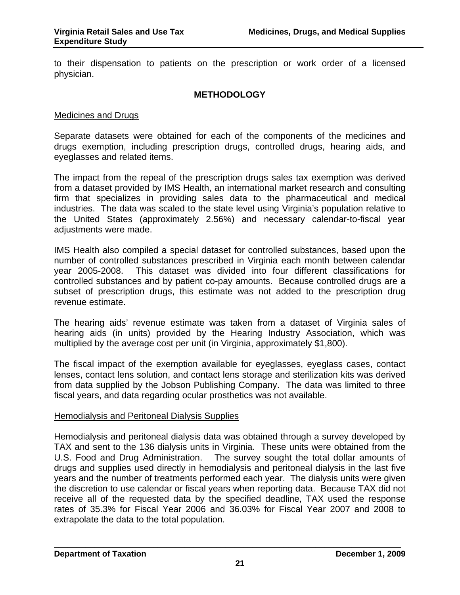to their dispensation to patients on the prescription or work order of a licensed physician.

#### **METHODOLOGY**

#### Medicines and Drugs

Separate datasets were obtained for each of the components of the medicines and drugs exemption, including prescription drugs, controlled drugs, hearing aids, and eyeglasses and related items.

The impact from the repeal of the prescription drugs sales tax exemption was derived from a dataset provided by IMS Health, an international market research and consulting firm that specializes in providing sales data to the pharmaceutical and medical industries. The data was scaled to the state level using Virginia's population relative to the United States (approximately 2.56%) and necessary calendar-to-fiscal year adjustments were made.

IMS Health also compiled a special dataset for controlled substances, based upon the number of controlled substances prescribed in Virginia each month between calendar year 2005-2008. This dataset was divided into four different classifications for controlled substances and by patient co-pay amounts. Because controlled drugs are a subset of prescription drugs, this estimate was not added to the prescription drug revenue estimate.

The hearing aids' revenue estimate was taken from a dataset of Virginia sales of hearing aids (in units) provided by the Hearing Industry Association, which was multiplied by the average cost per unit (in Virginia, approximately \$1,800).

The fiscal impact of the exemption available for eyeglasses, eyeglass cases, contact lenses, contact lens solution, and contact lens storage and sterilization kits was derived from data supplied by the Jobson Publishing Company. The data was limited to three fiscal years, and data regarding ocular prosthetics was not available.

#### Hemodialysis and Peritoneal Dialysis Supplies

Hemodialysis and peritoneal dialysis data was obtained through a survey developed by TAX and sent to the 136 dialysis units in Virginia. These units were obtained from the U.S. Food and Drug Administration. The survey sought the total dollar amounts of drugs and supplies used directly in hemodialysis and peritoneal dialysis in the last five years and the number of treatments performed each year. The dialysis units were given the discretion to use calendar or fiscal years when reporting data. Because TAX did not receive all of the requested data by the specified deadline, TAX used the response rates of 35.3% for Fiscal Year 2006 and 36.03% for Fiscal Year 2007 and 2008 to extrapolate the data to the total population.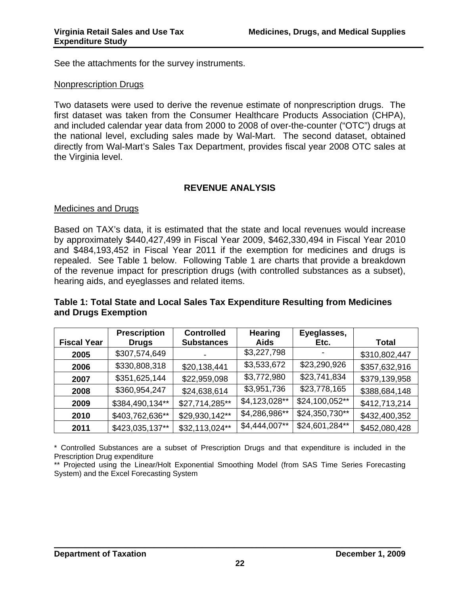See the attachments for the survey instruments.

#### Nonprescription Drugs

Two datasets were used to derive the revenue estimate of nonprescription drugs. The first dataset was taken from the Consumer Healthcare Products Association (CHPA), and included calendar year data from 2000 to 2008 of over-the-counter ("OTC") drugs at the national level, excluding sales made by Wal-Mart. The second dataset, obtained directly from Wal-Mart's Sales Tax Department, provides fiscal year 2008 OTC sales at the Virginia level.

#### **REVENUE ANALYSIS**

#### Medicines and Drugs

Based on TAX's data, it is estimated that the state and local revenues would increase by approximately \$440,427,499 in Fiscal Year 2009, \$462,330,494 in Fiscal Year 2010 and \$484,193,452 in Fiscal Year 2011 if the exemption for medicines and drugs is repealed. See Table 1 below. Following Table 1 are charts that provide a breakdown of the revenue impact for prescription drugs (with controlled substances as a subset), hearing aids, and eyeglasses and related items.

### **Table 1: Total State and Local Sales Tax Expenditure Resulting from Medicines and Drugs Exemption**

|                    | <b>Prescription</b> | <b>Controlled</b> | <b>Hearing</b> | Eyeglasses,    |               |
|--------------------|---------------------|-------------------|----------------|----------------|---------------|
| <b>Fiscal Year</b> | <b>Drugs</b>        | <b>Substances</b> | <b>Aids</b>    | Etc.           | Total         |
| 2005               | \$307,574,649       |                   | \$3,227,798    |                | \$310,802,447 |
| 2006               | \$330,808,318       | \$20,138,441      | \$3,533,672    | \$23,290,926   | \$357,632,916 |
| 2007               | \$351,625,144       | \$22,959,098      | \$3,772,980    | \$23,741,834   | \$379,139,958 |
| 2008               | \$360,954,247       | \$24,638,614      | \$3,951,736    | \$23,778,165   | \$388,684,148 |
| 2009               | \$384,490,134**     | \$27,714,285**    | \$4,123,028**  | \$24,100,052** | \$412,713,214 |
| 2010               | \$403,762,636**     | \$29,930,142**    | \$4,286,986**  | \$24,350,730** | \$432,400,352 |
| 2011               | \$423,035,137**     | \$32,113,024**    | \$4,444,007**  | \$24,601,284** | \$452,080,428 |

\* Controlled Substances are a subset of Prescription Drugs and that expenditure is included in the Prescription Drug expenditure

\*\* Projected using the Linear/Holt Exponential Smoothing Model (from SAS Time Series Forecasting System) and the Excel Forecasting System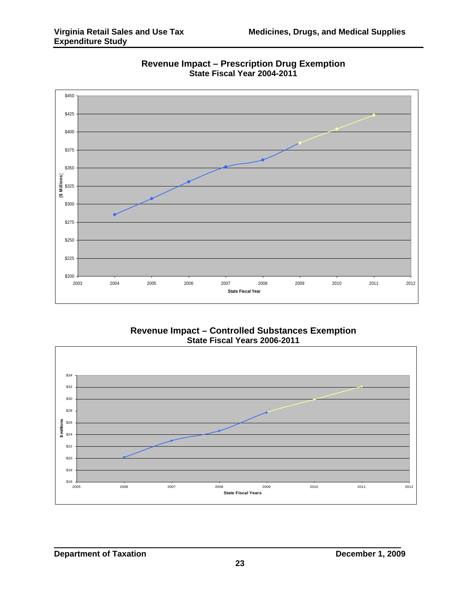

**Revenue Impact – Prescription Drug Exemption State Fiscal Year 2004-2011**

# **Revenue Impact – Controlled Substances Exemption State Fiscal Years 2006-2011**

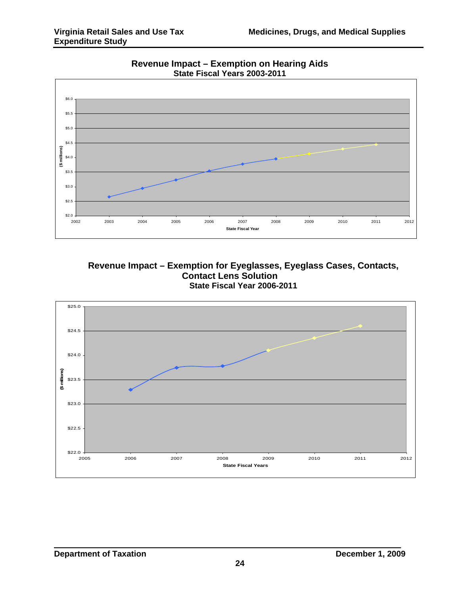

**Revenue Impact – Exemption on Hearing Aids State Fiscal Years 2003-2011**



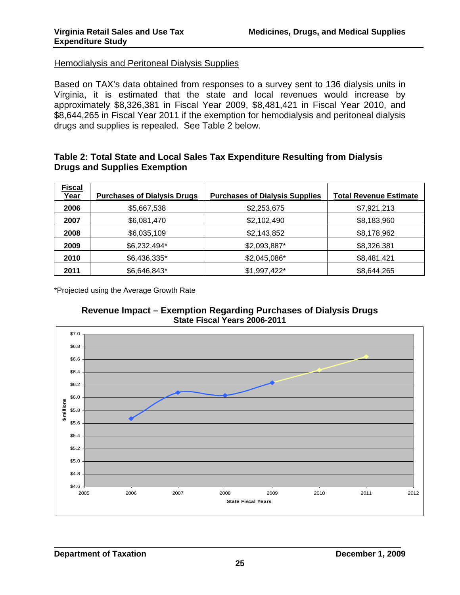#### Hemodialysis and Peritoneal Dialysis Supplies

Based on TAX's data obtained from responses to a survey sent to 136 dialysis units in Virginia, it is estimated that the state and local revenues would increase by approximately \$8,326,381 in Fiscal Year 2009, \$8,481,421 in Fiscal Year 2010, and \$8,644,265 in Fiscal Year 2011 if the exemption for hemodialysis and peritoneal dialysis drugs and supplies is repealed. See Table 2 below.

#### **Table 2: Total State and Local Sales Tax Expenditure Resulting from Dialysis Drugs and Supplies Exemption**

| <b>Fiscal</b><br>Year | <b>Purchases of Dialysis Drugs</b> | <b>Purchases of Dialysis Supplies</b> | <b>Total Revenue Estimate</b> |
|-----------------------|------------------------------------|---------------------------------------|-------------------------------|
| 2006                  | \$5,667,538                        | \$2,253,675                           | \$7,921,213                   |
| 2007                  | \$6,081,470                        | \$2,102,490                           | \$8,183,960                   |
| 2008                  | \$6,035,109                        | \$2,143,852                           | \$8,178,962                   |
| 2009                  | \$6,232,494*                       | \$2,093,887*                          | \$8,326,381                   |
| 2010                  | \$6,436,335*                       | \$2,045,086*                          | \$8,481,421                   |
| 2011                  | \$6,646,843*                       | \$1,997,422*                          | \$8,644,265                   |

\*Projected using the Average Growth Rate



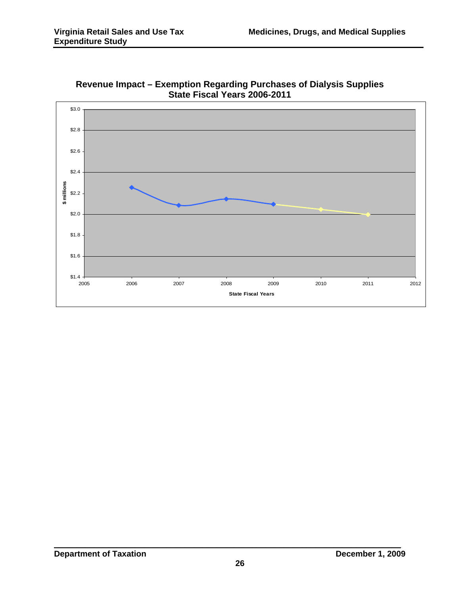

**Revenue Impact – Exemption Regarding Purchases of Dialysis Supplies State Fiscal Years 2006-2011**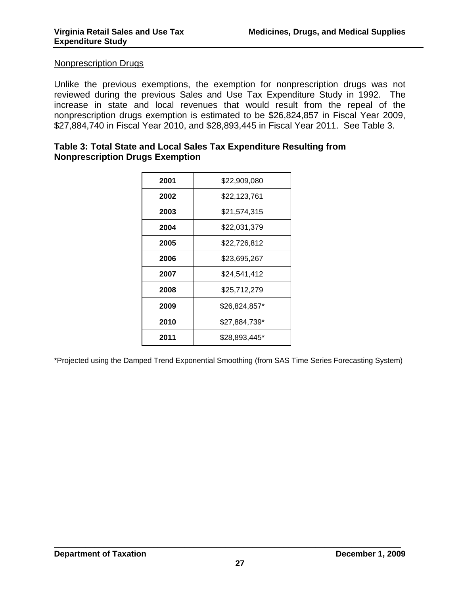#### Nonprescription Drugs

Unlike the previous exemptions, the exemption for nonprescription drugs was not reviewed during the previous Sales and Use Tax Expenditure Study in 1992. The increase in state and local revenues that would result from the repeal of the nonprescription drugs exemption is estimated to be \$26,824,857 in Fiscal Year 2009, \$27,884,740 in Fiscal Year 2010, and \$28,893,445 in Fiscal Year 2011. See Table 3.

#### **Table 3: Total State and Local Sales Tax Expenditure Resulting from Nonprescription Drugs Exemption**

| \$22,909,080  |
|---------------|
| \$22,123,761  |
| \$21,574,315  |
| \$22,031,379  |
| \$22,726,812  |
| \$23,695,267  |
| \$24,541,412  |
| \$25,712,279  |
| \$26,824,857* |
| \$27,884,739* |
| \$28,893,445* |
|               |

\*Projected using the Damped Trend Exponential Smoothing (from SAS Time Series Forecasting System)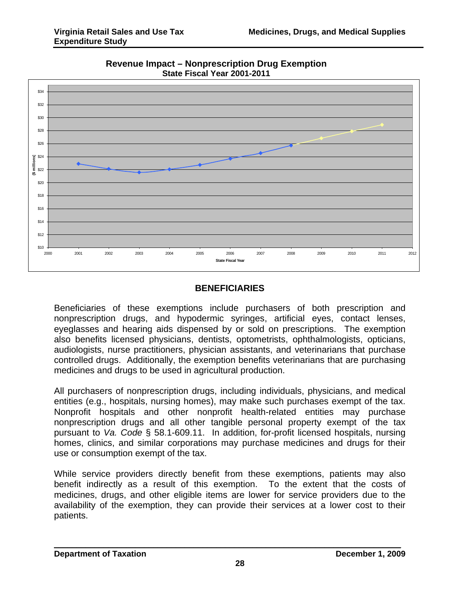

**Revenue Impact – Nonprescription Drug Exemption State Fiscal Year 2001-2011** 

# **BENEFICIARIES**

Beneficiaries of these exemptions include purchasers of both prescription and nonprescription drugs, and hypodermic syringes, artificial eyes, contact lenses, eyeglasses and hearing aids dispensed by or sold on prescriptions. The exemption also benefits licensed physicians, dentists, optometrists, ophthalmologists, opticians, audiologists, nurse practitioners, physician assistants, and veterinarians that purchase controlled drugs. Additionally, the exemption benefits veterinarians that are purchasing medicines and drugs to be used in agricultural production.

All purchasers of nonprescription drugs, including individuals, physicians, and medical entities (e.g., hospitals, nursing homes), may make such purchases exempt of the tax. Nonprofit hospitals and other nonprofit health-related entities may purchase nonprescription drugs and all other tangible personal property exempt of the tax pursuant to *Va. Code* § 58.1-609.11. In addition, for-profit licensed hospitals, nursing homes, clinics, and similar corporations may purchase medicines and drugs for their use or consumption exempt of the tax.

While service providers directly benefit from these exemptions, patients may also benefit indirectly as a result of this exemption. To the extent that the costs of medicines, drugs, and other eligible items are lower for service providers due to the availability of the exemption, they can provide their services at a lower cost to their patients.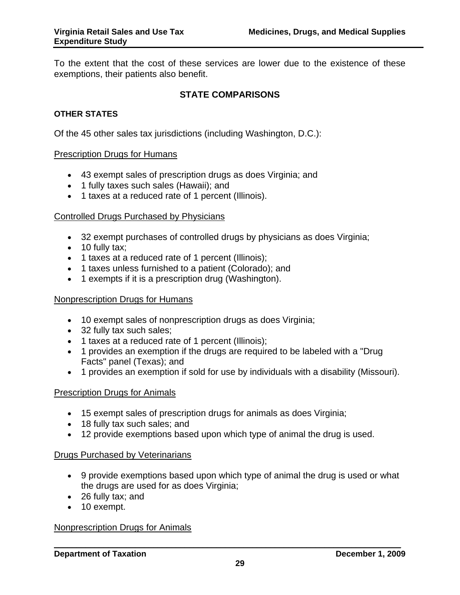To the extent that the cost of these services are lower due to the existence of these exemptions, their patients also benefit.

#### **STATE COMPARISONS**

#### **OTHER STATES**

Of the 45 other sales tax jurisdictions (including Washington, D.C.):

#### **Prescription Drugs for Humans**

- 43 exempt sales of prescription drugs as does Virginia; and
- 1 fully taxes such sales (Hawaii); and
- 1 taxes at a reduced rate of 1 percent (Illinois).

#### Controlled Drugs Purchased by Physicians

- 32 exempt purchases of controlled drugs by physicians as does Virginia;
- 10 fully tax;
- 1 taxes at a reduced rate of 1 percent (Illinois);
- 1 taxes unless furnished to a patient (Colorado); and
- 1 exempts if it is a prescription drug (Washington).

#### Nonprescription Drugs for Humans

- 10 exempt sales of nonprescription drugs as does Virginia;
- 32 fully tax such sales;
- 1 taxes at a reduced rate of 1 percent (Illinois);
- 1 provides an exemption if the drugs are required to be labeled with a "Drug Facts" panel (Texas); and
- 1 provides an exemption if sold for use by individuals with a disability (Missouri).

#### Prescription Drugs for Animals

- 15 exempt sales of prescription drugs for animals as does Virginia;
- 18 fully tax such sales; and
- 12 provide exemptions based upon which type of animal the drug is used.

#### Drugs Purchased by Veterinarians

- 9 provide exemptions based upon which type of animal the drug is used or what the drugs are used for as does Virginia;
- 26 fully tax; and
- 10 exempt.

#### Nonprescription Drugs for Animals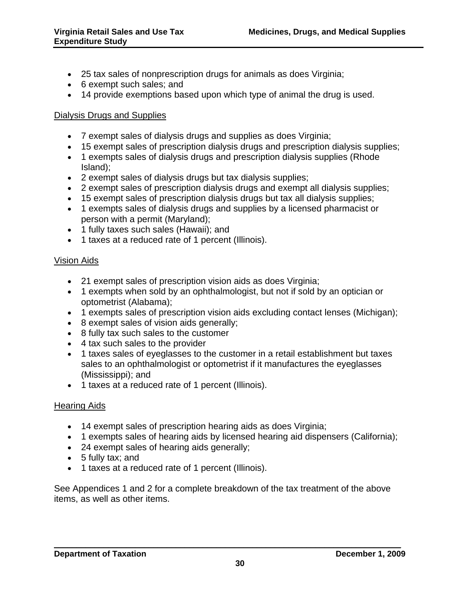- 25 tax sales of nonprescription drugs for animals as does Virginia;
- 6 exempt such sales; and
- 14 provide exemptions based upon which type of animal the drug is used.

# Dialysis Drugs and Supplies

- 7 exempt sales of dialysis drugs and supplies as does Virginia;
- 15 exempt sales of prescription dialysis drugs and prescription dialysis supplies;
- 1 exempts sales of dialysis drugs and prescription dialysis supplies (Rhode Island);
- 2 exempt sales of dialysis drugs but tax dialysis supplies;
- 2 exempt sales of prescription dialysis drugs and exempt all dialysis supplies;
- 15 exempt sales of prescription dialysis drugs but tax all dialysis supplies;
- 1 exempts sales of dialysis drugs and supplies by a licensed pharmacist or person with a permit (Maryland);
- 1 fully taxes such sales (Hawaii); and
- 1 taxes at a reduced rate of 1 percent (Illinois).

# Vision Aids

- 21 exempt sales of prescription vision aids as does Virginia;
- 1 exempts when sold by an ophthalmologist, but not if sold by an optician or optometrist (Alabama);
- 1 exempts sales of prescription vision aids excluding contact lenses (Michigan);
- 8 exempt sales of vision aids generally;
- 8 fully tax such sales to the customer
- 4 tax such sales to the provider
- 1 taxes sales of eyeglasses to the customer in a retail establishment but taxes sales to an ophthalmologist or optometrist if it manufactures the eyeglasses (Mississippi); and
- 1 taxes at a reduced rate of 1 percent (Illinois).

# Hearing Aids

- 14 exempt sales of prescription hearing aids as does Virginia;
- 1 exempts sales of hearing aids by licensed hearing aid dispensers (California);
- 24 exempt sales of hearing aids generally;
- 5 fully tax; and
- 1 taxes at a reduced rate of 1 percent (Illinois).

See Appendices 1 and 2 for a complete breakdown of the tax treatment of the above items, as well as other items.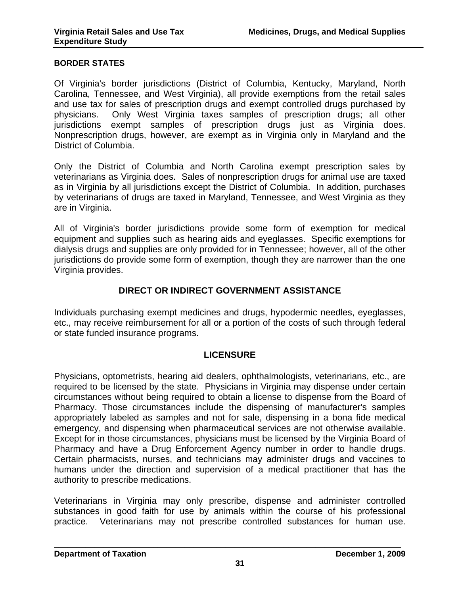#### **BORDER STATES**

Of Virginia's border jurisdictions (District of Columbia, Kentucky, Maryland, North Carolina, Tennessee, and West Virginia), all provide exemptions from the retail sales and use tax for sales of prescription drugs and exempt controlled drugs purchased by physicians. Only West Virginia taxes samples of prescription drugs; all other jurisdictions exempt samples of prescription drugs just as Virginia does. Nonprescription drugs, however, are exempt as in Virginia only in Maryland and the District of Columbia.

Only the District of Columbia and North Carolina exempt prescription sales by veterinarians as Virginia does. Sales of nonprescription drugs for animal use are taxed as in Virginia by all jurisdictions except the District of Columbia. In addition, purchases by veterinarians of drugs are taxed in Maryland, Tennessee, and West Virginia as they are in Virginia.

All of Virginia's border jurisdictions provide some form of exemption for medical equipment and supplies such as hearing aids and eyeglasses. Specific exemptions for dialysis drugs and supplies are only provided for in Tennessee; however, all of the other jurisdictions do provide some form of exemption, though they are narrower than the one Virginia provides.

# **DIRECT OR INDIRECT GOVERNMENT ASSISTANCE**

Individuals purchasing exempt medicines and drugs, hypodermic needles, eyeglasses, etc., may receive reimbursement for all or a portion of the costs of such through federal or state funded insurance programs.

#### **LICENSURE**

Physicians, optometrists, hearing aid dealers, ophthalmologists, veterinarians, etc., are required to be licensed by the state. Physicians in Virginia may dispense under certain circumstances without being required to obtain a license to dispense from the Board of Pharmacy. Those circumstances include the dispensing of manufacturer's samples appropriately labeled as samples and not for sale, dispensing in a bona fide medical emergency, and dispensing when pharmaceutical services are not otherwise available. Except for in those circumstances, physicians must be licensed by the Virginia Board of Pharmacy and have a Drug Enforcement Agency number in order to handle drugs. Certain pharmacists, nurses, and technicians may administer drugs and vaccines to humans under the direction and supervision of a medical practitioner that has the authority to prescribe medications.

Veterinarians in Virginia may only prescribe, dispense and administer controlled substances in good faith for use by animals within the course of his professional practice. Veterinarians may not prescribe controlled substances for human use.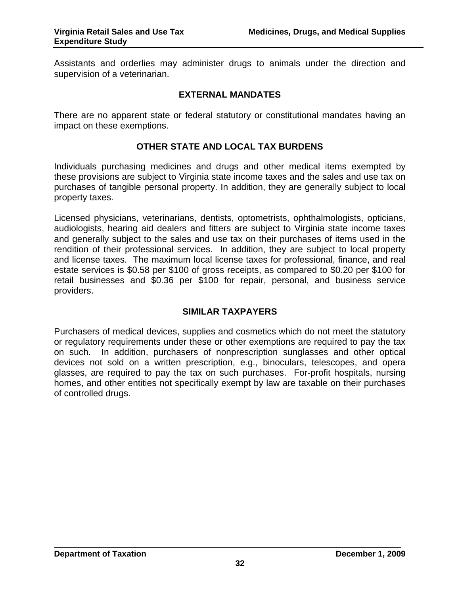Assistants and orderlies may administer drugs to animals under the direction and supervision of a veterinarian.

#### **EXTERNAL MANDATES**

There are no apparent state or federal statutory or constitutional mandates having an impact on these exemptions.

#### **OTHER STATE AND LOCAL TAX BURDENS**

Individuals purchasing medicines and drugs and other medical items exempted by these provisions are subject to Virginia state income taxes and the sales and use tax on purchases of tangible personal property. In addition, they are generally subject to local property taxes.

Licensed physicians, veterinarians, dentists, optometrists, ophthalmologists, opticians, audiologists, hearing aid dealers and fitters are subject to Virginia state income taxes and generally subject to the sales and use tax on their purchases of items used in the rendition of their professional services. In addition, they are subject to local property and license taxes. The maximum local license taxes for professional, finance, and real estate services is \$0.58 per \$100 of gross receipts, as compared to \$0.20 per \$100 for retail businesses and \$0.36 per \$100 for repair, personal, and business service providers.

#### **SIMILAR TAXPAYERS**

Purchasers of medical devices, supplies and cosmetics which do not meet the statutory or regulatory requirements under these or other exemptions are required to pay the tax on such. In addition, purchasers of nonprescription sunglasses and other optical devices not sold on a written prescription, e.g., binoculars, telescopes, and opera glasses, are required to pay the tax on such purchases. For-profit hospitals, nursing homes, and other entities not specifically exempt by law are taxable on their purchases of controlled drugs.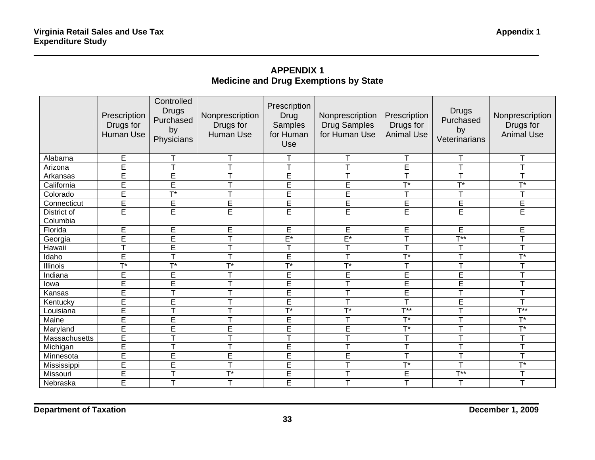# **APPENDIX 1 Medicine and Drug Exemptions by State**

|                                | Prescription<br>Drugs for<br>Human Use | Controlled<br><b>Drugs</b><br>Purchased<br>by<br>Physicians | Nonprescription<br>Drugs for<br>Human Use | Prescription<br><b>Drug</b><br>Samples<br>for Human<br>Use | Nonprescription<br><b>Drug Samples</b><br>for Human Use | Prescription<br>Drugs for<br><b>Animal Use</b> | <b>Drugs</b><br>Purchased<br>by<br>Veterinarians | Nonprescription<br>Drugs for<br><b>Animal Use</b> |
|--------------------------------|----------------------------------------|-------------------------------------------------------------|-------------------------------------------|------------------------------------------------------------|---------------------------------------------------------|------------------------------------------------|--------------------------------------------------|---------------------------------------------------|
| Alabama                        | E                                      | Т                                                           | т                                         | Τ                                                          | T                                                       |                                                |                                                  |                                                   |
| Arizona                        | E                                      | T                                                           | T                                         | Ŧ                                                          | $\overline{\mathsf{T}}$                                 | Ē                                              |                                                  |                                                   |
| Arkansas                       | $\overline{\mathsf{E}}$                | E                                                           | T                                         | Ē                                                          | $\top$                                                  | $\mathbf \tau$                                 | $\top$                                           | $\top$                                            |
| California                     | E                                      | E                                                           | T                                         | E                                                          | E                                                       | $T^*$                                          | $\overline{\mathsf{T}^*}$                        | $T^*$                                             |
| Colorado                       | Ē                                      | $\overline{\mathsf{T}^*}$                                   | T                                         | E                                                          | E                                                       |                                                |                                                  |                                                   |
| Connecticut                    | E                                      | $\overline{E}$                                              | E                                         | E                                                          | E                                                       | E                                              | E                                                | E                                                 |
| <b>District of</b><br>Columbia | E                                      | Ē                                                           | Ē                                         | E                                                          | E                                                       | Ē                                              | E                                                | E                                                 |
| Florida                        | E                                      | E                                                           | E                                         | E                                                          | E                                                       | E                                              | E                                                | E                                                 |
| Georgia                        | E                                      | E                                                           | T                                         | $E^*$                                                      | $E^*$                                                   | $\top$                                         | $T**$                                            | $\mathbf{\tau}$                                   |
| Hawaii                         | T.                                     | E                                                           | T                                         | T                                                          | T                                                       | $\top$                                         | $\mathbf{\tau}$                                  | $\mathbf{\tau}$                                   |
| Idaho                          | E                                      | T                                                           | т                                         | E                                                          | T                                                       | $T*$                                           |                                                  | $T^*$                                             |
| Illinois                       | $\overline{T}^*$                       | $T^*$                                                       | $T^*$                                     | $\overline{T}^*$                                           | $\overline{T}^*$                                        | ᠇                                              | $\blacksquare$                                   | $\top$                                            |
| Indiana                        | E                                      | E                                                           | $\mathsf{T}$                              | E                                                          | E                                                       | E                                              | E                                                |                                                   |
| lowa                           | Ē                                      | $\overline{E}$                                              | T                                         | E                                                          | $\overline{\mathsf{T}}$                                 | $\overline{E}$                                 | E                                                |                                                   |
| Kansas                         | Ē                                      | T                                                           | T                                         | Ē                                                          | $\mathsf T$                                             | E                                              | $\top$                                           | $\top$                                            |
| Kentucky                       | Ē                                      | E                                                           | T                                         | E                                                          | $\top$                                                  | T                                              | E                                                | $\top$                                            |
| Louisiana                      | Ē                                      | T                                                           | $\mathbf \tau$                            | $T*$                                                       | $\overline{T}^*$                                        | $T**$                                          | $\top$                                           | $T**$                                             |
| Maine                          | Ē                                      | E                                                           | T                                         | E                                                          | $\top$                                                  | $T^*$                                          | $\top$                                           | $T^*$                                             |
| Maryland                       | Ē                                      | E                                                           | E                                         | E                                                          | E                                                       | $T^*$                                          | T                                                | $\overline{\mathsf{T}^*}$                         |
| Massachusetts                  | Ē                                      |                                                             | $\top$                                    | $\overline{\top}$                                          | $\mathsf{T}$                                            | $\top$                                         |                                                  | $\top$                                            |
| Michigan                       | Ē                                      | T                                                           | T                                         | E                                                          | $\top$                                                  | T                                              |                                                  |                                                   |
| Minnesota                      | Ē                                      | Ē                                                           | $\overline{\mathsf{E}}$                   | Ē                                                          | E                                                       | T                                              | T                                                | $\mathbf{r}$                                      |
| Mississippi                    | Ē                                      | Ē                                                           | $\mathsf{T}$                              | Ē                                                          | $\top$                                                  | $T^*$                                          | $\top$                                           | $\overline{\mathsf{T}^*}$                         |
| Missouri                       | Ē                                      | T                                                           | $T^*$                                     | Ē                                                          | Т                                                       | E                                              | $T^{**}$                                         | $\mathsf{T}$                                      |
| Nebraska                       | Ē                                      | T                                                           | T                                         | E                                                          | T                                                       | T                                              | T                                                | T                                                 |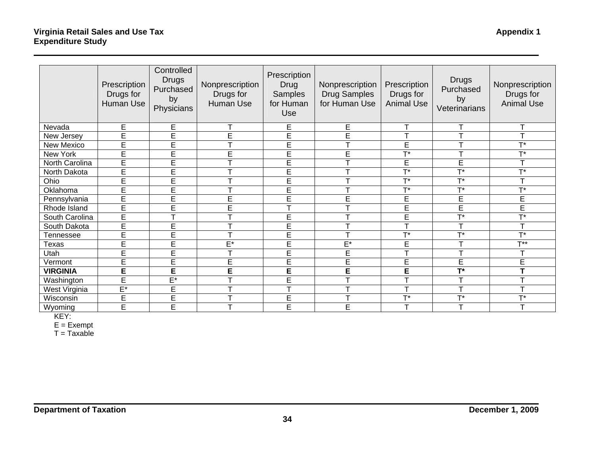|                 |                                        | Controlled                                    |                                           |                                                                   |                                                         |                                                |                                                  |                                                   |
|-----------------|----------------------------------------|-----------------------------------------------|-------------------------------------------|-------------------------------------------------------------------|---------------------------------------------------------|------------------------------------------------|--------------------------------------------------|---------------------------------------------------|
|                 | Prescription<br>Drugs for<br>Human Use | <b>Drugs</b><br>Purchased<br>by<br>Physicians | Nonprescription<br>Drugs for<br>Human Use | Prescription<br>Drug<br><b>Samples</b><br>for Human<br><b>Use</b> | Nonprescription<br><b>Drug Samples</b><br>for Human Use | Prescription<br>Drugs for<br><b>Animal Use</b> | <b>Drugs</b><br>Purchased<br>by<br>Veterinarians | Nonprescription<br>Drugs for<br><b>Animal Use</b> |
| Nevada          | E                                      | E                                             | $\mathbf \tau$                            | Е                                                                 | E                                                       | $\mathbf \tau$                                 |                                                  | Τ                                                 |
| New Jersey      | E                                      | E                                             | Ē                                         | Ē                                                                 | E                                                       | $\mathbf{\tau}$                                |                                                  | $\mathbf{\tau}$                                   |
| New Mexico      | E                                      | E                                             | T                                         | E                                                                 | $\top$                                                  | E                                              |                                                  | $T*$                                              |
| New York        | Ē                                      | Ē                                             | E                                         | Ē                                                                 | E                                                       | $\overline{\mathsf{T}^*}$                      |                                                  | $\overline{T}^*$                                  |
| North Carolina  | Ē                                      | E                                             |                                           | Ē                                                                 | T                                                       | E                                              | E                                                | T                                                 |
| North Dakota    | Ē                                      | E                                             | ᠇                                         | Ē                                                                 | $\mathbf T$                                             | $\mathbf{T}^*$                                 | T*                                               | $T*$                                              |
| Ohio            | Ē                                      | E                                             | ᠇                                         | Ē                                                                 | T                                                       | $T*$                                           | $\mathbf{r}$                                     | $\mathbf$                                         |
| Oklahoma        | Ē                                      | E                                             |                                           | E                                                                 | T                                                       | $T*$                                           | $T*$                                             | $T*$                                              |
| Pennsylvania    | E                                      | Ē                                             | E                                         | Ē                                                                 | E                                                       | E                                              | E                                                | E                                                 |
| Rhode Island    | E                                      | Ē                                             | E                                         | $\overline{\mathsf{T}}$                                           | T                                                       | Ē                                              | Ē                                                | E                                                 |
| South Carolina  | E                                      | $\mathbf \tau$                                | ᠇                                         | E                                                                 | $\mathbf{T}$                                            | E                                              | T*                                               | $T^*$                                             |
| South Dakota    | E                                      | E                                             | Ŧ                                         | E                                                                 | T                                                       |                                                |                                                  |                                                   |
| Tennessee       | Ē                                      | Ē                                             | T                                         | Ē                                                                 | $\overline{\mathsf{T}}$                                 | $\overline{\mathsf{T}^*}$                      | т*                                               | $\overline{\mathbf{r}}$                           |
| <b>Texas</b>    | E                                      | E                                             | $E^*$                                     | E                                                                 | $\mathsf{E}^\star$                                      | E                                              |                                                  | $\mathbf{T} \star \star$                          |
| Utah            | Ē                                      | Ē                                             | $\mathbf \tau$                            | Ē                                                                 | Ē                                                       | $\mathbf \tau$                                 |                                                  | $\mathbf{\tau}$                                   |
| Vermont         | E                                      | E                                             | E                                         | E                                                                 | E                                                       | E                                              | E                                                | E                                                 |
| <b>VIRGINIA</b> | E                                      | E                                             | E                                         | E                                                                 | E                                                       | E                                              | $T^*$                                            | T                                                 |
| Washington      | Ē                                      | $E^*$                                         | $\mathbf \tau$                            | E                                                                 | T                                                       | ᠇                                              |                                                  | T                                                 |
| West Virginia   | $E^*$                                  | E                                             | ᠇                                         | $\mathbf \tau$                                                    | $\mathsf{T}$                                            | T                                              |                                                  | $\mathbf \tau$                                    |
| Wisconsin       | E                                      | Ē                                             | ᠇                                         | Ē                                                                 | T                                                       | $T*$                                           | T*                                               | $T^*$                                             |
| Wyoming         | E                                      | E                                             | T                                         | E                                                                 | E                                                       | T                                              |                                                  |                                                   |

KEY:

E = Exempt

T = Taxable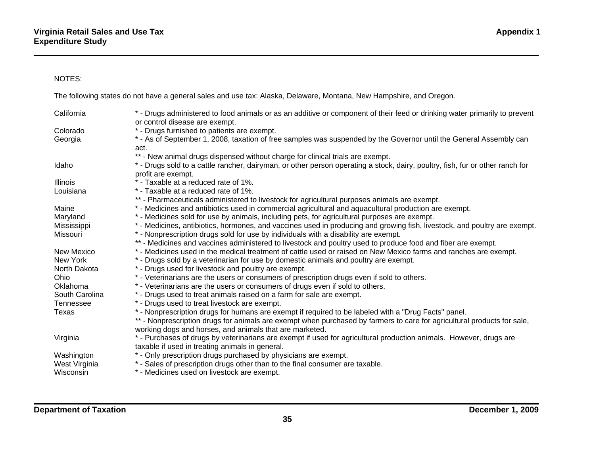#### NOTES:

The following states do not have a general sales and use tax: Alaska, Delaware, Montana, New Hampshire, and Oregon.

| California       | * - Drugs administered to food animals or as an additive or component of their feed or drinking water primarily to prevent<br>or control disease are exempt. |
|------------------|--------------------------------------------------------------------------------------------------------------------------------------------------------------|
| Colorado         | * - Drugs furnished to patients are exempt.                                                                                                                  |
| Georgia          | * - As of September 1, 2008, taxation of free samples was suspended by the Governor until the General Assembly can                                           |
|                  | act.                                                                                                                                                         |
|                  | ** - New animal drugs dispensed without charge for clinical trials are exempt.                                                                               |
| Idaho            | * - Drugs sold to a cattle rancher, dairyman, or other person operating a stock, dairy, poultry, fish, fur or other ranch for                                |
|                  | profit are exempt.                                                                                                                                           |
| <b>Illinois</b>  | * - Taxable at a reduced rate of 1%.                                                                                                                         |
| Louisiana        | * - Taxable at a reduced rate of 1%.                                                                                                                         |
|                  | ** - Pharmaceuticals administered to livestock for agricultural purposes animals are exempt.                                                                 |
| Maine            | * - Medicines and antibiotics used in commercial agricultural and aquacultural production are exempt.                                                        |
| Maryland         | * - Medicines sold for use by animals, including pets, for agricultural purposes are exempt.                                                                 |
| Mississippi      | * - Medicines, antibiotics, hormones, and vaccines used in producing and growing fish, livestock, and poultry are exempt.                                    |
| Missouri         | * - Nonprescription drugs sold for use by individuals with a disability are exempt.                                                                          |
|                  | ** - Medicines and vaccines administered to livestock and poultry used to produce food and fiber are exempt.                                                 |
| New Mexico       | * - Medicines used in the medical treatment of cattle used or raised on New Mexico farms and ranches are exempt.                                             |
| New York         | * - Drugs sold by a veterinarian for use by domestic animals and poultry are exempt.                                                                         |
| North Dakota     | * - Drugs used for livestock and poultry are exempt.                                                                                                         |
| <b>Ohio</b>      | * - Veterinarians are the users or consumers of prescription drugs even if sold to others.                                                                   |
| Oklahoma         | * - Veterinarians are the users or consumers of drugs even if sold to others.                                                                                |
| South Carolina   | * - Drugs used to treat animals raised on a farm for sale are exempt.                                                                                        |
| <b>Tennessee</b> | * - Drugs used to treat livestock are exempt.                                                                                                                |
| Texas            | * - Nonprescription drugs for humans are exempt if required to be labeled with a "Drug Facts" panel.                                                         |
|                  | ** - Nonprescription drugs for animals are exempt when purchased by farmers to care for agricultural products for sale,                                      |
|                  | working dogs and horses, and animals that are marketed.                                                                                                      |
| Virginia         | * - Purchases of drugs by veterinarians are exempt if used for agricultural production animals. However, drugs are                                           |
|                  | taxable if used in treating animals in general.                                                                                                              |
| Washington       | * - Only prescription drugs purchased by physicians are exempt.                                                                                              |
| West Virginia    | * - Sales of prescription drugs other than to the final consumer are taxable.                                                                                |
| Wisconsin        | * - Medicines used on livestock are exempt.                                                                                                                  |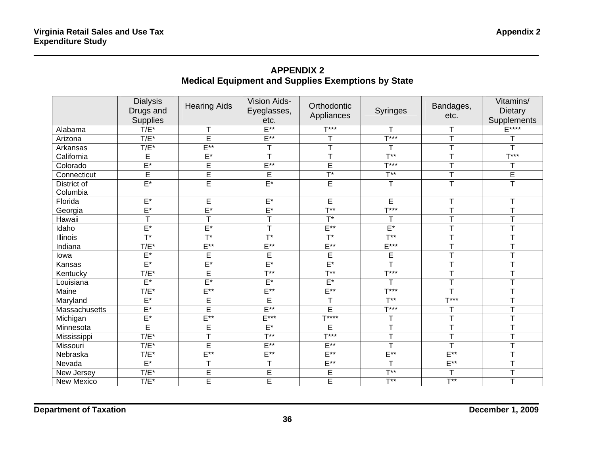# **APPENDIX 2 Medical Equipment and Supplies Exemptions by State**

|                         | <b>Dialysis</b><br>Drugs and<br><b>Supplies</b> | <b>Hearing Aids</b>     | Vision Aids-<br>Eyeglasses,<br>etc. | Orthodontic<br>Appliances          | <b>Syringes</b>               | Bandages,<br>etc.   | Vitamins/<br><b>Dietary</b><br>Supplements |
|-------------------------|-------------------------------------------------|-------------------------|-------------------------------------|------------------------------------|-------------------------------|---------------------|--------------------------------------------|
| Alabama                 | $T/E^*$                                         |                         | $E***$                              | $T***$                             | т                             |                     | E****                                      |
| Arizona                 | $T/E^*$                                         | Ē                       | $E^{**}$                            | T                                  | $T***$                        | $\mathbf{T}$        | T                                          |
| Arkansas                | $T/E^*$                                         | $E^{**}$                | T                                   | T                                  | T                             | $\top$              | T                                          |
| California              | E                                               | $E^*$                   | $\top$                              | $\overline{\mathsf{T}}$            | $T^{\ast\ast}$                |                     | $\overline{T***}$                          |
| Colorado                | $E^*$                                           | E                       | $E^{**}$                            | E                                  | $T***$                        | $\mathbf{\tau}$     | T                                          |
| Connecticut             | E                                               | $\overline{\mathsf{E}}$ | $\overline{E}$                      | $\overline{T}^*$                   | $\overline{T^{**}}$           |                     | $\overline{E}$                             |
| District of<br>Columbia | $E^*$                                           | Ē                       | $E^*$                               | $\overline{E}$                     | T                             | $\top$              | $\overline{\mathsf{T}}$                    |
| Florida                 | $E^*$                                           | E                       | $E^*$                               | E                                  | E                             |                     | т                                          |
| Georgia                 | $E^*$                                           | $E^*$                   | $E^*$                               | $\overline{\mathsf{F}^{\ast\ast}}$ | $\overline{\mathsf{T}^{***}}$ |                     | $\top$                                     |
| Hawaii                  | $\overline{\mathsf{T}}$                         | $\overline{\top}$       | $\overline{\mathsf{T}}$             | $T^*$                              | T                             |                     | Ŧ                                          |
| Idaho                   | $E^*$                                           | $E^*$                   | Ŧ                                   | $E^{**}$                           | $E^*$                         |                     | Ŧ                                          |
| <b>Illinois</b>         | $\overline{T}^*$                                | $\overline{T}^*$        | $\overline{\mathsf{T}^*}$           | $\overline{\mathsf{T}^*}$          | $\overline{T^{**}}$           |                     | $\mathbf \tau$                             |
| Indiana                 | $T/E^*$                                         | $E^{**}$                | $E^{**}$                            | $E^{**}$                           | $E***$                        | $\mathbf \tau$      | $\overline{\mathsf{r}}$                    |
| lowa                    | $E^*$                                           | E                       | E                                   | E                                  | E                             |                     | T                                          |
| Kansas                  | $E^*$                                           | $E^*$                   | $E^*$                               | $E^*$                              | $\overline{\mathsf{r}}$       |                     | $\mathbf{\tau}$                            |
| Kentucky                | $T/E^*$                                         | Ē                       | $\overline{T^{**}}$                 | $\overline{T^{**}}$                | $\overline{\mathsf{T}^{***}}$ |                     | T                                          |
| Louisiana               | $E^*$                                           | $E^*$                   | $E^*$                               | $E^*$                              | т                             | ᠇                   | T                                          |
| Maine                   | $T/E^*$                                         | $E***$                  | $E***$                              | $E***$                             | $T***$                        |                     | $\top$                                     |
| Maryland                | $E^*$                                           | Ē                       | Ē                                   | Ŧ                                  | $\overline{T^{**}}$           | $T***$              | $\overline{\mathsf{T}}$                    |
| Massachusetts           | $E^*$                                           | Ē                       | $E^{**}$                            | E                                  | $\overline{\mathsf{T}^{***}}$ | $\mathsf{T}$        | T                                          |
| Michigan                | $E^*$                                           | $E^{**}$                | $E***$                              | $T***$                             | T                             | $\mathbf \tau$      | т                                          |
| Minnesota               | Ē                                               | Ē                       | $E^*$                               | E                                  | Ŧ                             | T                   | Ŧ                                          |
| Mississippi             | $T/E^*$                                         | Ŧ                       | $\overline{T}^{**}$                 | $\overline{\mathsf{T}^{***}}$      | T                             | $\mathbf{\tau}$     | Ŧ                                          |
| Missouri                | $T/E^*$                                         | Ē                       | $E***$                              | $E^{**}$                           | T                             | $\top$              | Ŧ                                          |
| Nebraska                | $T/E^*$                                         | $E^{**}$                | $E***$                              | $E^{**}$                           | $E***$                        | $E***$              | Ŧ                                          |
| Nevada                  | $E^*$                                           |                         | $\overline{\mathsf{T}}$             | $E^{**}$                           | $\mathsf{T}$                  | $E***$              | T                                          |
| New Jersey              | $T/E^*$                                         | Ē                       | E                                   | E                                  | $\overline{T^{**}}$           | T                   | $\top$                                     |
| New Mexico              | $T/E^*$                                         | Ē                       | Ē                                   | Ē                                  | $\overline{T}^{**}$           | $\overline{T^{**}}$ | T                                          |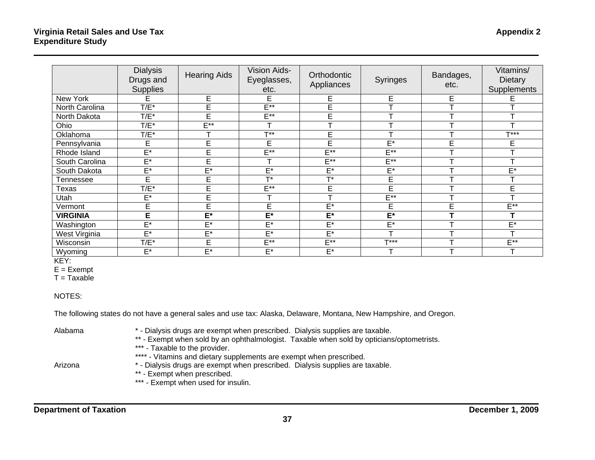|                 | <b>Dialysis</b><br>Drugs and<br><b>Supplies</b> | <b>Hearing Aids</b> | <b>Vision Aids-</b><br>Eyeglasses,<br>etc. | Orthodontic<br>Appliances | <b>Syringes</b> | Bandages,<br>etc. | Vitamins/<br><b>Dietary</b><br>Supplements |
|-----------------|-------------------------------------------------|---------------------|--------------------------------------------|---------------------------|-----------------|-------------------|--------------------------------------------|
| New York        | E                                               | E                   | E                                          | E                         | E               | E                 |                                            |
| North Carolina  | $T/E^*$                                         | E                   | $E^{**}$                                   | E                         |                 |                   |                                            |
| North Dakota    | $T/E^*$                                         | E                   | $E^{**}$                                   | E                         | $\mathbf$       |                   | $\mathbf{\tau}$                            |
| Ohio            | $T/E^*$                                         | $E***$              |                                            |                           |                 |                   |                                            |
| Oklahoma        | $T/E^*$                                         |                     | $T**$                                      | E                         |                 |                   | $T***$                                     |
| Pennsylvania    | E                                               | E                   | E                                          | E                         | $E^*$           | E                 | E                                          |
| Rhode Island    | $\overline{\mathsf{E}^*}$                       | E                   | $F^*$                                      | $E^{**}$                  | $E^{\ast\ast}$  |                   | ᠇                                          |
| South Carolina  | $\mathsf{E}^\star$                              | E                   |                                            | $E^{\ast\ast}$            | $E^{**}$        |                   |                                            |
| South Dakota    | E*                                              | $E^*$               | $E^*$                                      | $E^*$                     | $E^*$           |                   | $E^*$                                      |
| Tennessee       | E                                               | E                   | $T*$                                       | $T*$                      | E               |                   | ᠇                                          |
| Texas           | $T/E^*$                                         | E                   | $E^{**}$                                   | E                         | E               |                   | E                                          |
| Utah            | E*                                              | E                   |                                            | ᠇                         | $E^{\ast\ast}$  |                   |                                            |
| Vermont         | E                                               | E                   | E                                          | $E^*$                     | E               | E                 | $E^{**}$                                   |
| <b>VIRGINIA</b> | E                                               | $E^*$               | $E^*$                                      | $E^*$                     | $E^*$           |                   |                                            |
| Washington      | E*                                              | $E^*$               | $E^*$                                      | $E^*$                     | E*              |                   | $\mathsf{E}^\star$                         |
| West Virginia   | $E^*$                                           | $E^*$               | $E^*$                                      | $E^*$                     | ┯               |                   | T                                          |
| Wisconsin       | $T/E^*$                                         | E                   | $E^{**}$                                   | $E^{**}$                  | $T***$          |                   | $E^{**}$                                   |
| Wyoming         | E*                                              | $E^*$               | $E^*$                                      | $E^*$                     | ┯               |                   | т                                          |

KEY:

 $E = Exempt$ 

 $T = Taxable$ 

#### NOTES:

The following states do not have a general sales and use tax: Alaska, Delaware, Montana, New Hampshire, and Oregon.

Alabama \* - Dialysis drugs are exempt when prescribed. Dialysis supplies are taxable.

- \*\* Exempt when sold by an ophthalmologist. Taxable when sold by opticians/optometrists.
- \*\*\* Taxable to the provider.

\*\*\*\* - Vitamins and dietary supplements are exempt when prescribed.

- Arizona \* Dialysis drugs are exempt when prescribed. Dialysis supplies are taxable. \*\* - Exempt when prescribed.
	- \*\*\* Exempt when used for insulin.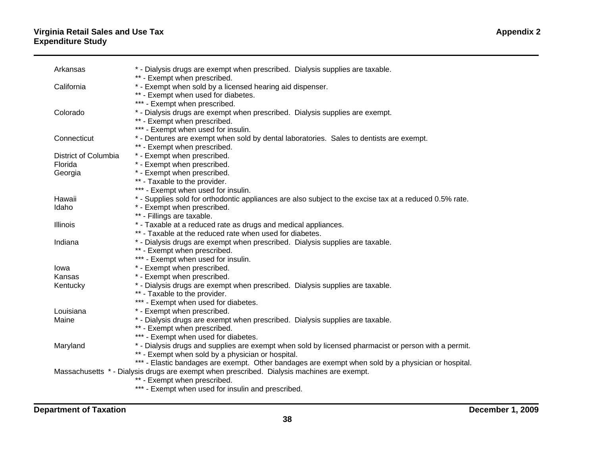#### **Virginia Retail Sales and Use Tax Appendix 2 Expenditure Study**

| Arkansas             | * - Dialysis drugs are exempt when prescribed. Dialysis supplies are taxable.                           |
|----------------------|---------------------------------------------------------------------------------------------------------|
|                      | ** - Exempt when prescribed.                                                                            |
| California           | * - Exempt when sold by a licensed hearing aid dispenser.                                               |
|                      | ** - Exempt when used for diabetes.                                                                     |
|                      | *** - Exempt when prescribed.                                                                           |
| Colorado             | * - Dialysis drugs are exempt when prescribed. Dialysis supplies are exempt.                            |
|                      | ** - Exempt when prescribed.                                                                            |
|                      | *** - Exempt when used for insulin.                                                                     |
| Connecticut          | * - Dentures are exempt when sold by dental laboratories. Sales to dentists are exempt.                 |
|                      | ** - Exempt when prescribed.                                                                            |
| District of Columbia | * - Exempt when prescribed.                                                                             |
| Florida              | * - Exempt when prescribed.                                                                             |
| Georgia              | * - Exempt when prescribed.                                                                             |
|                      | ** - Taxable to the provider.                                                                           |
|                      | *** - Exempt when used for insulin.                                                                     |
| Hawaii               | * - Supplies sold for orthodontic appliances are also subject to the excise tax at a reduced 0.5% rate. |
| Idaho                | * - Exempt when prescribed.                                                                             |
|                      | ** - Fillings are taxable.                                                                              |
| <b>Illinois</b>      | * - Taxable at a reduced rate as drugs and medical appliances.                                          |
|                      | ** - Taxable at the reduced rate when used for diabetes.                                                |
| Indiana              | * - Dialysis drugs are exempt when prescribed. Dialysis supplies are taxable.                           |
|                      | ** - Exempt when prescribed.                                                                            |
|                      | *** - Exempt when used for insulin.                                                                     |
| lowa                 | * - Exempt when prescribed.                                                                             |
| Kansas               | * - Exempt when prescribed.                                                                             |
| Kentucky             | * - Dialysis drugs are exempt when prescribed. Dialysis supplies are taxable.                           |
|                      | ** - Taxable to the provider.                                                                           |
|                      | *** - Exempt when used for diabetes.                                                                    |
| Louisiana            | * - Exempt when prescribed.                                                                             |
| Maine                | * - Dialysis drugs are exempt when prescribed. Dialysis supplies are taxable.                           |
|                      | ** - Exempt when prescribed.                                                                            |
|                      | *** - Exempt when used for diabetes.                                                                    |
| Maryland             | * - Dialysis drugs and supplies are exempt when sold by licensed pharmacist or person with a permit.    |
|                      | ** - Exempt when sold by a physician or hospital.                                                       |
|                      | *** - Elastic bandages are exempt. Other bandages are exempt when sold by a physician or hospital.      |
|                      | Massachusetts * - Dialysis drugs are exempt when prescribed. Dialysis machines are exempt.              |
|                      | ** - Exempt when prescribed.                                                                            |
|                      | *** - Exempt when used for insulin and prescribed.                                                      |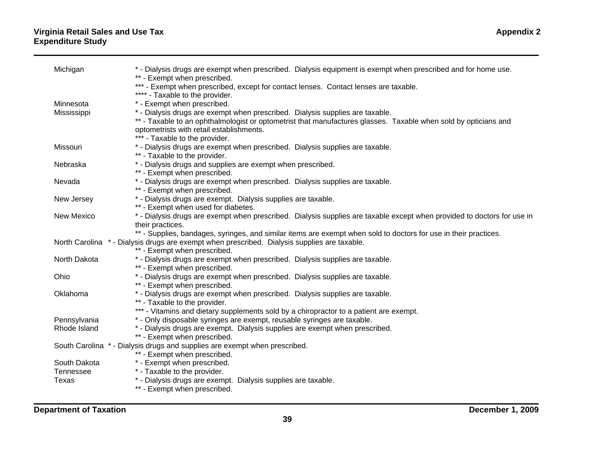#### **Virginia Retail Sales and Use Tax Appendix 2 Expenditure Study**

| Michigan     | * - Dialysis drugs are exempt when prescribed. Dialysis equipment is exempt when prescribed and for home use.                                               |
|--------------|-------------------------------------------------------------------------------------------------------------------------------------------------------------|
|              | ** - Exempt when prescribed.<br>*** - Exempt when prescribed, except for contact lenses. Contact lenses are taxable.                                        |
|              | **** - Taxable to the provider.                                                                                                                             |
| Minnesota    | * - Exempt when prescribed.                                                                                                                                 |
| Mississippi  | * - Dialysis drugs are exempt when prescribed. Dialysis supplies are taxable.                                                                               |
|              | ** - Taxable to an ophthalmologist or optometrist that manufactures glasses. Taxable when sold by opticians and<br>optometrists with retail establishments. |
|              | *** - Taxable to the provider.                                                                                                                              |
| Missouri     | * - Dialysis drugs are exempt when prescribed. Dialysis supplies are taxable.                                                                               |
|              | ** - Taxable to the provider.                                                                                                                               |
| Nebraska     | * - Dialysis drugs and supplies are exempt when prescribed.<br>** - Exempt when prescribed.                                                                 |
| Nevada       | * - Dialysis drugs are exempt when prescribed. Dialysis supplies are taxable.                                                                               |
|              | ** - Exempt when prescribed.                                                                                                                                |
| New Jersey   | * - Dialysis drugs are exempt. Dialysis supplies are taxable.                                                                                               |
|              | ** - Exempt when used for diabetes.                                                                                                                         |
| New Mexico   | * - Dialysis drugs are exempt when prescribed. Dialysis supplies are taxable except when provided to doctors for use in<br>their practices.                 |
|              | ** - Supplies, bandages, syringes, and similar items are exempt when sold to doctors for use in their practices.                                            |
|              | North Carolina * - Dialysis drugs are exempt when prescribed. Dialysis supplies are taxable.                                                                |
|              | ** - Exempt when prescribed.                                                                                                                                |
| North Dakota | * - Dialysis drugs are exempt when prescribed. Dialysis supplies are taxable.                                                                               |
| Ohio         | ** - Exempt when prescribed.<br>* - Dialysis drugs are exempt when prescribed. Dialysis supplies are taxable.                                               |
|              | ** - Exempt when prescribed.                                                                                                                                |
| Oklahoma     | * - Dialysis drugs are exempt when prescribed. Dialysis supplies are taxable.                                                                               |
|              | ** - Taxable to the provider.                                                                                                                               |
|              | *** - Vitamins and dietary supplements sold by a chiropractor to a patient are exempt.                                                                      |
| Pennsylvania | * - Only disposable syringes are exempt, reusable syringes are taxable.                                                                                     |
| Rhode Island | * - Dialysis drugs are exempt. Dialysis supplies are exempt when prescribed.<br>** - Exempt when prescribed.                                                |
|              | South Carolina * - Dialysis drugs and supplies are exempt when prescribed.                                                                                  |
|              | ** - Exempt when prescribed.                                                                                                                                |
| South Dakota | * - Exempt when prescribed.                                                                                                                                 |
| Tennessee    | * - Taxable to the provider.                                                                                                                                |
| Texas        | * - Dialysis drugs are exempt. Dialysis supplies are taxable.                                                                                               |
|              | ** - Exempt when prescribed.                                                                                                                                |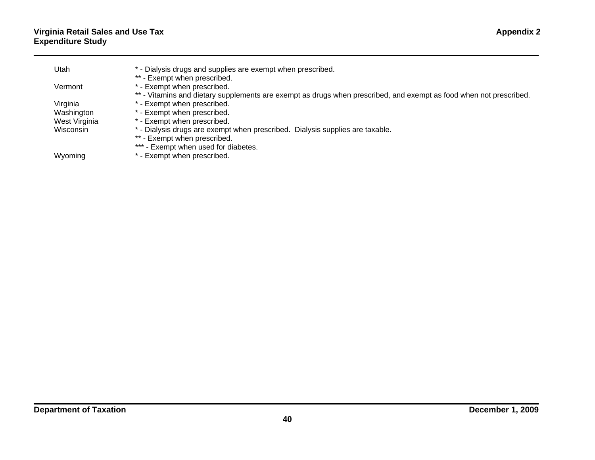| Utah          | * - Dialysis drugs and supplies are exempt when prescribed.                                                        |
|---------------|--------------------------------------------------------------------------------------------------------------------|
|               | ** - Exempt when prescribed.                                                                                       |
| Vermont       | * - Exempt when prescribed.                                                                                        |
|               | ** - Vitamins and dietary supplements are exempt as drugs when prescribed, and exempt as food when not prescribed. |
| Virginia      | * - Exempt when prescribed.                                                                                        |
| Washington    | * - Exempt when prescribed.                                                                                        |
| West Virginia | * - Exempt when prescribed.                                                                                        |
| Wisconsin     | * - Dialysis drugs are exempt when prescribed. Dialysis supplies are taxable.                                      |
|               | ** - Exempt when prescribed.                                                                                       |
|               | *** - Exempt when used for diabetes.                                                                               |
| Wyoming       | * - Exempt when prescribed.                                                                                        |
|               |                                                                                                                    |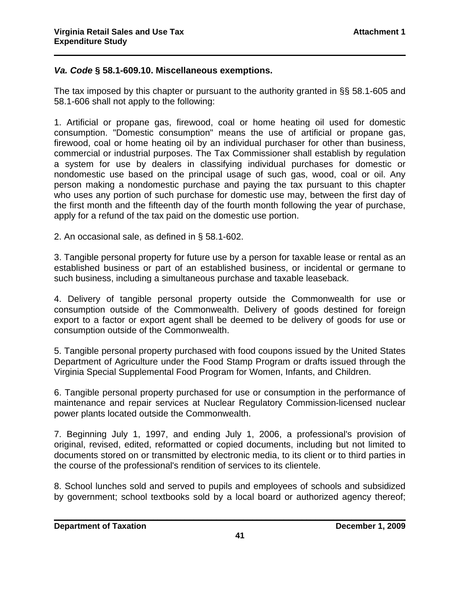### *Va. Code* **§ 58.1-609.10. Miscellaneous exemptions.**

The tax imposed by this chapter or pursuant to the authority granted in §§ 58.1-605 and 58.1-606 shall not apply to the following:

 $\mathcal{L}_\text{max}$  and  $\mathcal{L}_\text{max}$  and  $\mathcal{L}_\text{max}$  and  $\mathcal{L}_\text{max}$  and  $\mathcal{L}_\text{max}$  and  $\mathcal{L}_\text{max}$ 

1. Artificial or propane gas, firewood, coal or home heating oil used for domestic consumption. "Domestic consumption" means the use of artificial or propane gas, firewood, coal or home heating oil by an individual purchaser for other than business, commercial or industrial purposes. The Tax Commissioner shall establish by regulation a system for use by dealers in classifying individual purchases for domestic or nondomestic use based on the principal usage of such gas, wood, coal or oil. Any person making a nondomestic purchase and paying the tax pursuant to this chapter who uses any portion of such purchase for domestic use may, between the first day of the first month and the fifteenth day of the fourth month following the year of purchase, apply for a refund of the tax paid on the domestic use portion.

2. An occasional sale, as defined in § 58.1-602.

3. Tangible personal property for future use by a person for taxable lease or rental as an established business or part of an established business, or incidental or germane to such business, including a simultaneous purchase and taxable leaseback.

4. Delivery of tangible personal property outside the Commonwealth for use or consumption outside of the Commonwealth. Delivery of goods destined for foreign export to a factor or export agent shall be deemed to be delivery of goods for use or consumption outside of the Commonwealth.

5. Tangible personal property purchased with food coupons issued by the United States Department of Agriculture under the Food Stamp Program or drafts issued through the Virginia Special Supplemental Food Program for Women, Infants, and Children.

6. Tangible personal property purchased for use or consumption in the performance of maintenance and repair services at Nuclear Regulatory Commission-licensed nuclear power plants located outside the Commonwealth.

7. Beginning July 1, 1997, and ending July 1, 2006, a professional's provision of original, revised, edited, reformatted or copied documents, including but not limited to documents stored on or transmitted by electronic media, to its client or to third parties in the course of the professional's rendition of services to its clientele.

8. School lunches sold and served to pupils and employees of schools and subsidized by government; school textbooks sold by a local board or authorized agency thereof;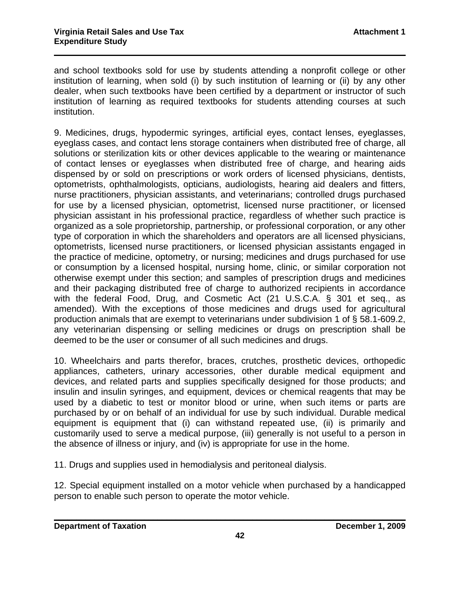and school textbooks sold for use by students attending a nonprofit college or other institution of learning, when sold (i) by such institution of learning or (ii) by any other dealer, when such textbooks have been certified by a department or instructor of such institution of learning as required textbooks for students attending courses at such institution.

 $\mathcal{L}_\text{max}$  and  $\mathcal{L}_\text{max}$  and  $\mathcal{L}_\text{max}$  and  $\mathcal{L}_\text{max}$  and  $\mathcal{L}_\text{max}$  and  $\mathcal{L}_\text{max}$ 

9. Medicines, drugs, hypodermic syringes, artificial eyes, contact lenses, eyeglasses, eyeglass cases, and contact lens storage containers when distributed free of charge, all solutions or sterilization kits or other devices applicable to the wearing or maintenance of contact lenses or eyeglasses when distributed free of charge, and hearing aids dispensed by or sold on prescriptions or work orders of licensed physicians, dentists, optometrists, ophthalmologists, opticians, audiologists, hearing aid dealers and fitters, nurse practitioners, physician assistants, and veterinarians; controlled drugs purchased for use by a licensed physician, optometrist, licensed nurse practitioner, or licensed physician assistant in his professional practice, regardless of whether such practice is organized as a sole proprietorship, partnership, or professional corporation, or any other type of corporation in which the shareholders and operators are all licensed physicians, optometrists, licensed nurse practitioners, or licensed physician assistants engaged in the practice of medicine, optometry, or nursing; medicines and drugs purchased for use or consumption by a licensed hospital, nursing home, clinic, or similar corporation not otherwise exempt under this section; and samples of prescription drugs and medicines and their packaging distributed free of charge to authorized recipients in accordance with the federal Food, Drug, and Cosmetic Act (21 U.S.C.A. § 301 et seg., as amended). With the exceptions of those medicines and drugs used for agricultural production animals that are exempt to veterinarians under subdivision 1 of § 58.1-609.2, any veterinarian dispensing or selling medicines or drugs on prescription shall be deemed to be the user or consumer of all such medicines and drugs.

10. Wheelchairs and parts therefor, braces, crutches, prosthetic devices, orthopedic appliances, catheters, urinary accessories, other durable medical equipment and devices, and related parts and supplies specifically designed for those products; and insulin and insulin syringes, and equipment, devices or chemical reagents that may be used by a diabetic to test or monitor blood or urine, when such items or parts are purchased by or on behalf of an individual for use by such individual. Durable medical equipment is equipment that (i) can withstand repeated use, (ii) is primarily and customarily used to serve a medical purpose, (iii) generally is not useful to a person in the absence of illness or injury, and (iv) is appropriate for use in the home.

11. Drugs and supplies used in hemodialysis and peritoneal dialysis.

12. Special equipment installed on a motor vehicle when purchased by a handicapped person to enable such person to operate the motor vehicle.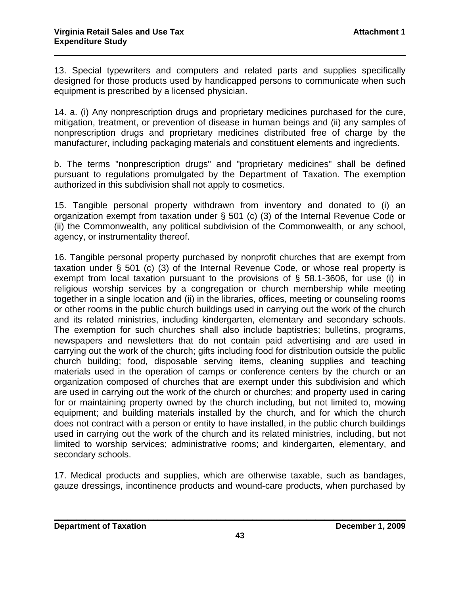13. Special typewriters and computers and related parts and supplies specifically designed for those products used by handicapped persons to communicate when such equipment is prescribed by a licensed physician.

 $\mathcal{L}_\text{max}$  and  $\mathcal{L}_\text{max}$  and  $\mathcal{L}_\text{max}$  and  $\mathcal{L}_\text{max}$  and  $\mathcal{L}_\text{max}$  and  $\mathcal{L}_\text{max}$ 

14. a. (i) Any nonprescription drugs and proprietary medicines purchased for the cure, mitigation, treatment, or prevention of disease in human beings and (ii) any samples of nonprescription drugs and proprietary medicines distributed free of charge by the manufacturer, including packaging materials and constituent elements and ingredients.

b. The terms "nonprescription drugs" and "proprietary medicines" shall be defined pursuant to regulations promulgated by the Department of Taxation. The exemption authorized in this subdivision shall not apply to cosmetics.

15. Tangible personal property withdrawn from inventory and donated to (i) an organization exempt from taxation under § 501 (c) (3) of the Internal Revenue Code or (ii) the Commonwealth, any political subdivision of the Commonwealth, or any school, agency, or instrumentality thereof.

16. Tangible personal property purchased by nonprofit churches that are exempt from taxation under § 501 (c) (3) of the Internal Revenue Code, or whose real property is exempt from local taxation pursuant to the provisions of § 58.1-3606, for use (i) in religious worship services by a congregation or church membership while meeting together in a single location and (ii) in the libraries, offices, meeting or counseling rooms or other rooms in the public church buildings used in carrying out the work of the church and its related ministries, including kindergarten, elementary and secondary schools. The exemption for such churches shall also include baptistries; bulletins, programs, newspapers and newsletters that do not contain paid advertising and are used in carrying out the work of the church; gifts including food for distribution outside the public church building; food, disposable serving items, cleaning supplies and teaching materials used in the operation of camps or conference centers by the church or an organization composed of churches that are exempt under this subdivision and which are used in carrying out the work of the church or churches; and property used in caring for or maintaining property owned by the church including, but not limited to, mowing equipment; and building materials installed by the church, and for which the church does not contract with a person or entity to have installed, in the public church buildings used in carrying out the work of the church and its related ministries, including, but not limited to worship services; administrative rooms; and kindergarten, elementary, and secondary schools.

17. Medical products and supplies, which are otherwise taxable, such as bandages, gauze dressings, incontinence products and wound-care products, when purchased by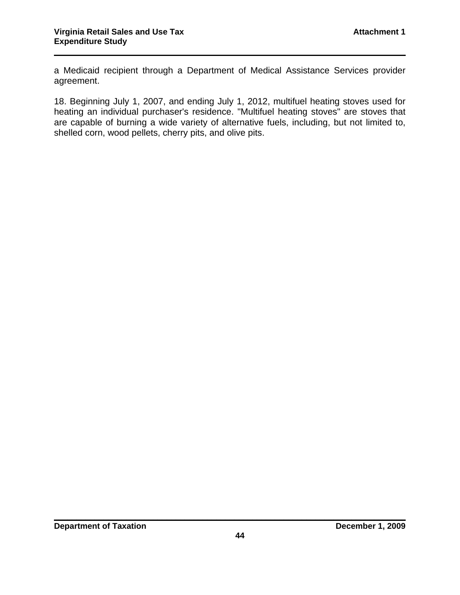a Medicaid recipient through a Department of Medical Assistance Services provider agreement.

 $\mathcal{L}_\text{max}$  and  $\mathcal{L}_\text{max}$  and  $\mathcal{L}_\text{max}$  and  $\mathcal{L}_\text{max}$  and  $\mathcal{L}_\text{max}$  and  $\mathcal{L}_\text{max}$ 

18. Beginning July 1, 2007, and ending July 1, 2012, multifuel heating stoves used for heating an individual purchaser's residence. "Multifuel heating stoves" are stoves that are capable of burning a wide variety of alternative fuels, including, but not limited to, shelled corn, wood pellets, cherry pits, and olive pits.